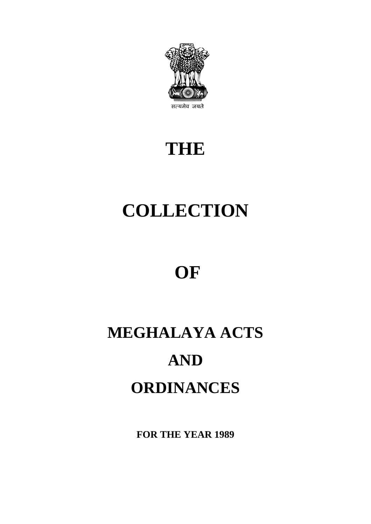

# **THE**

# **COLLECTION**

# **OF**

# **MEGHALAYA ACTS AND ORDINANCES**

**FOR THE YEAR 1989**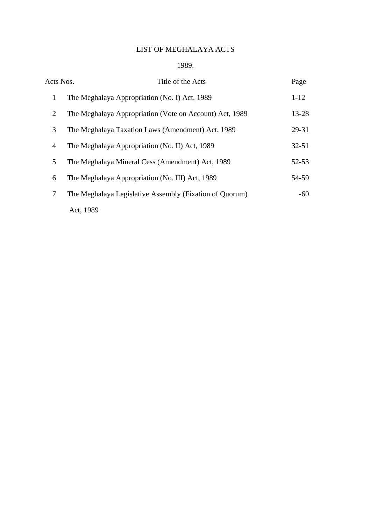### LIST OF MEGHALAYA ACTS

#### 1989.

| Acts Nos.      | Title of the Acts                                       | Page      |
|----------------|---------------------------------------------------------|-----------|
| $\mathbf{1}$   | The Meghalaya Appropriation (No. I) Act, 1989           | $1 - 12$  |
| 2              | The Meghalaya Appropriation (Vote on Account) Act, 1989 | 13-28     |
| 3              | The Meghalaya Taxation Laws (Amendment) Act, 1989       | 29-31     |
| $\overline{4}$ | The Meghalaya Appropriation (No. II) Act, 1989          | $32 - 51$ |
| 5              | The Meghalaya Mineral Cess (Amendment) Act, 1989        | $52 - 53$ |
| 6              | The Meghalaya Appropriation (No. III) Act, 1989         | 54-59     |
| 7              | The Meghalaya Legislative Assembly (Fixation of Quorum) | $-60$     |
|                | Act, 1989                                               |           |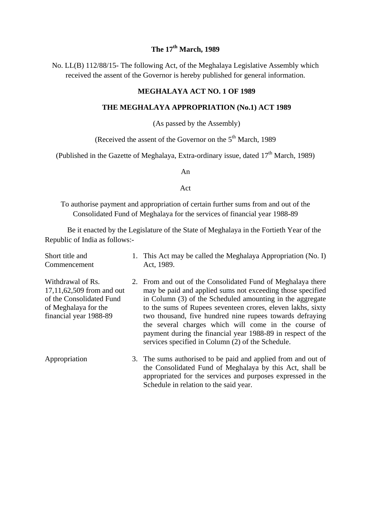### **The 17th March, 1989**

No. LL(B) 112/88/15- The following Act, of the Meghalaya Legislative Assembly which received the assent of the Governor is hereby published for general information.

#### **MEGHALAYA ACT NO. 1 OF 1989**

#### **THE MEGHALAYA APPROPRIATION (No.1) ACT 1989**

(As passed by the Assembly)

(Received the assent of the Governor on the  $5<sup>th</sup>$  March, 1989)

(Published in the Gazette of Meghalaya, Extra-ordinary issue, dated  $17<sup>th</sup>$  March, 1989)

#### An

#### Act

To authorise payment and appropriation of certain further sums from and out of the Consolidated Fund of Meghalaya for the services of financial year 1988-89

Be it enacted by the Legislature of the State of Meghalaya in the Fortieth Year of the Republic of India as follows:-

| Short title and<br>Commencement                                                                                              | 1. This Act may be called the Meghalaya Appropriation (No. I)<br>Act, 1989.                                                                                                                                                                                                                                                                                                                                                                                                                   |
|------------------------------------------------------------------------------------------------------------------------------|-----------------------------------------------------------------------------------------------------------------------------------------------------------------------------------------------------------------------------------------------------------------------------------------------------------------------------------------------------------------------------------------------------------------------------------------------------------------------------------------------|
| Withdrawal of Rs.<br>17,11,62,509 from and out<br>of the Consolidated Fund<br>of Meghalaya for the<br>financial year 1988-89 | 2. From and out of the Consolidated Fund of Meghalaya there<br>may be paid and applied sums not exceeding those specified<br>in Column (3) of the Scheduled amounting in the aggregate<br>to the sums of Rupees seventeen crores, eleven lakhs, sixty<br>two thousand, five hundred nine rupees towards defraying<br>the several charges which will come in the course of<br>payment during the financial year 1988-89 in respect of the<br>services specified in Column (2) of the Schedule. |
| Appropriation                                                                                                                | 3. The sums authorised to be paid and applied from and out of<br>the Consolidated Fund of Meghalaya by this Act, shall be<br>appropriated for the services and purposes expressed in the<br>Schedule in relation to the said year.                                                                                                                                                                                                                                                            |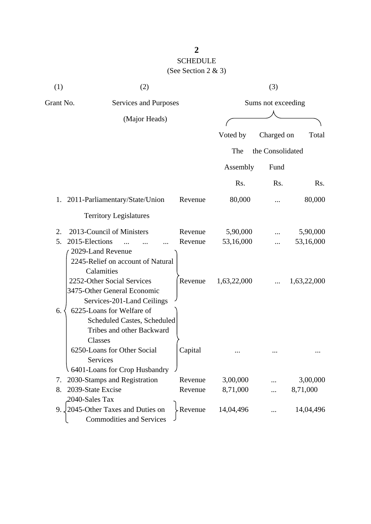| (1)       | (2)                               |         |             | (3)                |             |
|-----------|-----------------------------------|---------|-------------|--------------------|-------------|
| Grant No. | Services and Purposes             |         |             | Sums not exceeding |             |
|           | (Major Heads)                     |         |             |                    |             |
|           |                                   |         | Voted by    | Charged on         | Total       |
|           |                                   |         | The         | the Consolidated   |             |
|           |                                   |         | Assembly    | Fund               |             |
|           |                                   |         | Rs.         | Rs.                | Rs.         |
|           | 1. 2011-Parliamentary/State/Union | Revenue | 80,000      |                    | 80,000      |
|           | <b>Territory Legislatures</b>     |         |             |                    |             |
| 2.        | 2013-Council of Ministers         | Revenue | 5,90,000    |                    | 5,90,000    |
| 5.        | 2015-Elections                    | Revenue | 53,16,000   |                    | 53,16,000   |
|           | 2029-Land Revenue                 |         |             |                    |             |
|           | 2245-Relief on account of Natural |         |             |                    |             |
|           | Calamities                        |         |             |                    |             |
|           | 2252-Other Social Services        | Revenue | 1,63,22,000 |                    | 1,63,22,000 |
|           | 3475-Other General Economic       |         |             |                    |             |
|           | Services-201-Land Ceilings        |         |             |                    |             |
| 6.        | 6225-Loans for Welfare of         |         |             |                    |             |
|           | Scheduled Castes, Scheduled       |         |             |                    |             |
|           | Tribes and other Backward         |         |             |                    |             |
|           | Classes                           |         |             |                    |             |
|           | 6250-Loans for Other Social       | Capital |             |                    |             |
|           | Services                          |         |             |                    |             |
|           | 6401-Loans for Crop Husbandry     |         |             |                    |             |
| 7.        | 2030-Stamps and Registration      | Revenue | 3,00,000    |                    | 3,00,000    |
| 8.        | 2039-State Excise                 | Revenue | 8,71,000    |                    | 8,71,000    |
|           | 2040-Sales Tax                    |         |             |                    |             |
| 9.        | 2045-Other Taxes and Duties on    | Revenue | 14,04,496   |                    | 14,04,496   |
|           | <b>Commodities and Services</b>   |         |             |                    |             |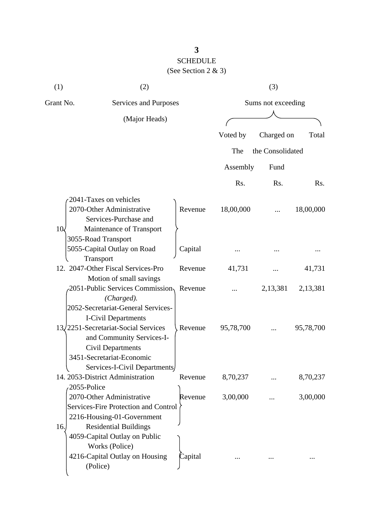| (1)         | (2)                                                                                                                                                              |         |           | (3)                |           |
|-------------|------------------------------------------------------------------------------------------------------------------------------------------------------------------|---------|-----------|--------------------|-----------|
| Grant No.   | Services and Purposes                                                                                                                                            |         |           | Sums not exceeding |           |
|             | (Major Heads)                                                                                                                                                    |         |           |                    |           |
|             |                                                                                                                                                                  |         | Voted by  | Charged on         | Total     |
|             |                                                                                                                                                                  |         | The       | the Consolidated   |           |
|             |                                                                                                                                                                  |         |           |                    |           |
|             |                                                                                                                                                                  |         | Assembly  | Fund               |           |
|             |                                                                                                                                                                  |         | Rs.       | Rs.                | Rs.       |
| 10<         | 2041-Taxes on vehicles<br>2070-Other Administrative<br>Services-Purchase and<br>Maintenance of Transport                                                         | Revenue | 18,00,000 |                    | 18,00,000 |
|             | 3055-Road Transport<br>5055-Capital Outlay on Road<br>Transport                                                                                                  | Capital |           |                    |           |
|             | 12. 2047-Other Fiscal Services-Pro                                                                                                                               | Revenue | 41,731    |                    | 41,731    |
|             | Motion of small savings<br>2051-Public Services Commission, Revenue<br>(Charged).<br>2052-Secretariat-General Services-                                          |         |           | 2,13,381           | 2,13,381  |
|             | <b>I-Civil Departments</b><br>13/2251-Secretariat-Social Services<br>and Community Services-I-<br>Civil Departments<br>3451-Secretariat-Economic                 | Revenue | 95,78,700 |                    | 95,78,700 |
| 2055-Police | Services-I-Civil Departments<br>14. 2053-District Administration                                                                                                 | Revenue | 8,70,237  |                    | 8,70,237  |
| 16.         | 2070-Other Administrative<br>Services-Fire Protection and Control<br>2216-Housing-01-Government<br><b>Residential Buildings</b><br>4059-Capital Outlay on Public | Revenue | 3,00,000  |                    | 3,00,000  |
|             | Works (Police)<br>4216-Capital Outlay on Housing<br>(Police)                                                                                                     | Capital |           |                    |           |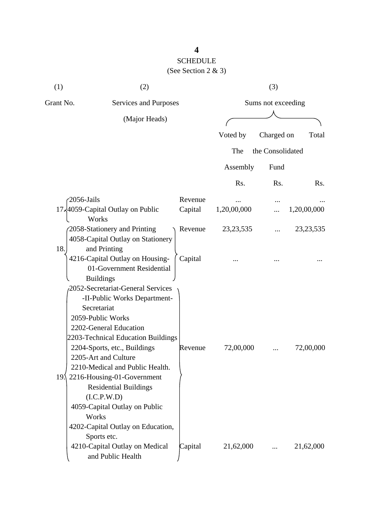| (1)             | (2)                                                                                                                                                                                                                                                                                                                                                                                                                                         |         |             | (3)                |             |
|-----------------|---------------------------------------------------------------------------------------------------------------------------------------------------------------------------------------------------------------------------------------------------------------------------------------------------------------------------------------------------------------------------------------------------------------------------------------------|---------|-------------|--------------------|-------------|
| Grant No.       | Services and Purposes                                                                                                                                                                                                                                                                                                                                                                                                                       |         |             | Sums not exceeding |             |
|                 | (Major Heads)                                                                                                                                                                                                                                                                                                                                                                                                                               |         |             |                    |             |
|                 |                                                                                                                                                                                                                                                                                                                                                                                                                                             |         | Voted by    | Charged on         | Total       |
|                 |                                                                                                                                                                                                                                                                                                                                                                                                                                             |         | The         | the Consolidated   |             |
|                 |                                                                                                                                                                                                                                                                                                                                                                                                                                             |         | Assembly    | Fund               |             |
|                 |                                                                                                                                                                                                                                                                                                                                                                                                                                             |         | Rs.         | R <sub>s</sub> .   | Rs.         |
|                 | 2056-Jails                                                                                                                                                                                                                                                                                                                                                                                                                                  | Revenue |             |                    |             |
|                 | 17,4059-Capital Outlay on Public<br>Works                                                                                                                                                                                                                                                                                                                                                                                                   | Capital | 1,20,00,000 |                    | 1,20,00,000 |
| 18.             | 2058-Stationery and Printing<br>4058-Capital Outlay on Stationery<br>and Printing                                                                                                                                                                                                                                                                                                                                                           | Revenue | 23, 23, 535 |                    | 23, 23, 535 |
|                 | 4216-Capital Outlay on Housing-<br>01-Government Residential<br><b>Buildings</b>                                                                                                                                                                                                                                                                                                                                                            | Capital |             |                    |             |
| 19 <sub>1</sub> | 2052-Secretariat-General Services<br>-II-Public Works Department-<br>Secretariat<br>2059-Public Works<br>2202-General Education<br>2203-Technical Education Buildings<br>2204-Sports, etc., Buildings<br>2205-Art and Culture<br>2210-Medical and Public Health.<br>2216-Housing-01-Government<br><b>Residential Buildings</b><br>(I.C.P.W.D)<br>4059-Capital Outlay on Public<br>Works<br>4202-Capital Outlay on Education,<br>Sports etc. | Revenue | 72,00,000   |                    | 72,00,000   |
|                 | 4210-Capital Outlay on Medical<br>and Public Health                                                                                                                                                                                                                                                                                                                                                                                         | Capital | 21,62,000   |                    | 21,62,000   |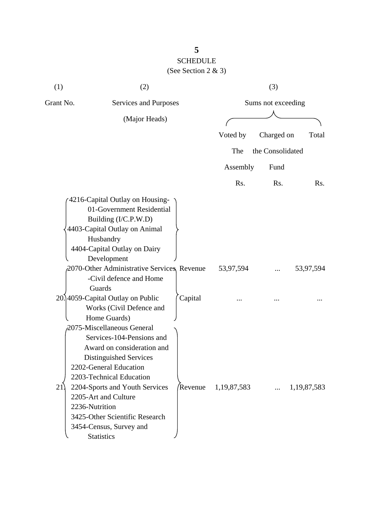| (1)                  | (2)                                                                                                                                                                                                                                                                                                                                                    |         |                | (3)                |                |
|----------------------|--------------------------------------------------------------------------------------------------------------------------------------------------------------------------------------------------------------------------------------------------------------------------------------------------------------------------------------------------------|---------|----------------|--------------------|----------------|
| Grant No.            | Services and Purposes                                                                                                                                                                                                                                                                                                                                  |         |                | Sums not exceeding |                |
|                      | (Major Heads)                                                                                                                                                                                                                                                                                                                                          |         |                |                    |                |
|                      |                                                                                                                                                                                                                                                                                                                                                        |         | Voted by       | Charged on         | Total          |
|                      |                                                                                                                                                                                                                                                                                                                                                        |         | The            | the Consolidated   |                |
|                      |                                                                                                                                                                                                                                                                                                                                                        |         | Assembly       | Fund               |                |
|                      |                                                                                                                                                                                                                                                                                                                                                        |         | Rs.            | Rs.                | Rs.            |
|                      | 4216-Capital Outlay on Housing-<br>01-Government Residential<br>Building (I/C.P.W.D)<br>4403-Capital Outlay on Animal<br>Husbandry<br>4404-Capital Outlay on Dairy<br>Development<br>2070-Other Administrative Services, Revenue<br>-Civil defence and Home<br>Guards<br>20.]4059-Capital Outlay on Public<br>Works (Civil Defence and<br>Home Guards) | Capital | 53,97,594      |                    | 53,97,594      |
| 21<br>2236-Nutrition | 2075-Miscellaneous General<br>Services-104-Pensions and<br>Award on consideration and<br>Distinguished Services<br>2202-General Education<br>2203-Technical Education<br>2204-Sports and Youth Services<br>2205-Art and Culture<br>3425-Other Scientific Research<br>3454-Census, Survey and<br><b>Statistics</b>                                      | Revenue | 1, 19, 87, 583 | $\cdots$           | 1, 19, 87, 583 |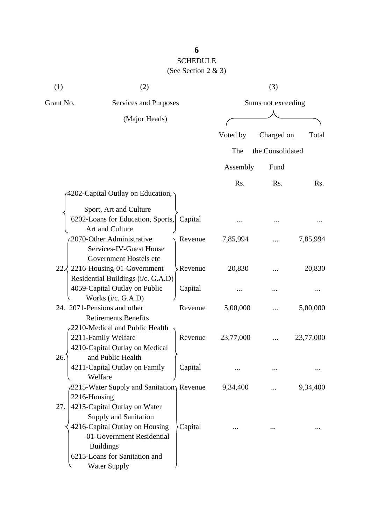# SCHEDULE

### (See Section 2 & 3)

| (1)       | (2)                                                                                                                                                                                                      |         |           | (3)                |           |
|-----------|----------------------------------------------------------------------------------------------------------------------------------------------------------------------------------------------------------|---------|-----------|--------------------|-----------|
| Grant No. | Services and Purposes                                                                                                                                                                                    |         |           | Sums not exceeding |           |
|           | (Major Heads)                                                                                                                                                                                            |         |           |                    |           |
|           |                                                                                                                                                                                                          |         | Voted by  | Charged on         | Total     |
|           |                                                                                                                                                                                                          |         | The       | the Consolidated   |           |
|           |                                                                                                                                                                                                          |         | Assembly  | Fund               |           |
|           |                                                                                                                                                                                                          |         | Rs.       | Rs.                | Rs.       |
|           | 4202-Capital Outlay on Education,                                                                                                                                                                        |         |           |                    |           |
|           | Sport, Art and Culture                                                                                                                                                                                   |         |           |                    |           |
|           | 6202-Loans for Education, Sports,<br>Art and Culture                                                                                                                                                     | Capital |           |                    |           |
|           | 2070-Other Administrative<br>Services-IV-Guest House<br>Government Hostels etc                                                                                                                           | Revenue | 7,85,994  |                    | 7,85,994  |
|           | 22. 2216-Housing-01-Government<br>Residential Buildings (i/c. G.A.D)                                                                                                                                     | Revenue | 20,830    |                    | 20,830    |
|           | 4059-Capital Outlay on Public<br>Works (i/c. G.A.D)                                                                                                                                                      | Capital |           |                    |           |
|           | 24. 2071-Pensions and other<br><b>Retirements Benefits</b>                                                                                                                                               | Revenue | 5,00,000  |                    | 5,00,000  |
|           | 2210-Medical and Public Health<br>2211-Family Welfare<br>4210-Capital Outlay on Medical                                                                                                                  | Revenue | 23,77,000 |                    | 23,77,000 |
| 26        | and Public Health<br>4211-Capital Outlay on Family<br>Welfare                                                                                                                                            | Capital |           |                    |           |
|           | 2215-Water Supply and Sanitation Revenue<br>2216-Housing                                                                                                                                                 |         | 9,34,400  |                    | 9,34,400  |
| 27.       | 4215-Capital Outlay on Water<br><b>Supply and Sanitation</b><br>4216-Capital Outlay on Housing<br>-01-Government Residential<br><b>Buildings</b><br>6215-Loans for Sanitation and<br><b>Water Supply</b> | Capital |           |                    |           |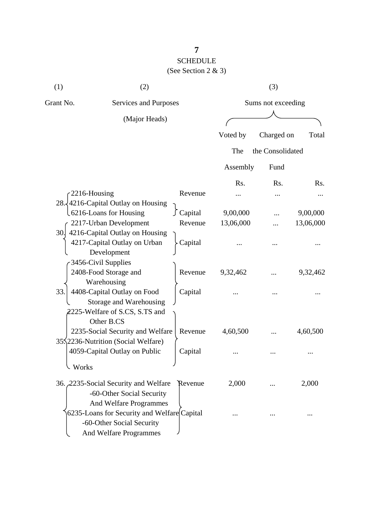# SCHEDULE (See Section 2 & 3)

| (1)          | (2)                                                                                                    |           |           | (3)                |           |
|--------------|--------------------------------------------------------------------------------------------------------|-----------|-----------|--------------------|-----------|
| Grant No.    | Services and Purposes                                                                                  |           |           | Sums not exceeding |           |
|              | (Major Heads)                                                                                          |           |           |                    |           |
|              |                                                                                                        |           | Voted by  | Charged on         | Total     |
|              |                                                                                                        |           | The       | the Consolidated   |           |
|              |                                                                                                        |           | Assembly  | Fund               |           |
|              |                                                                                                        |           | Rs.       | Rs.                | Rs.       |
| 2216-Housing |                                                                                                        | Revenue   |           |                    |           |
|              | 28. 4216-Capital Outlay on Housing                                                                     |           |           |                    |           |
|              | <b>L6216-Loans for Housing</b>                                                                         | ∫ Capital | 9,00,000  |                    | 9,00,000  |
|              | 2217-Urban Development                                                                                 | Revenue   | 13,06,000 |                    | 13,06,000 |
|              | 30. 4216-Capital Outlay on Housing<br>4217-Capital Outlay on Urban<br>Development                      | Capital   |           |                    |           |
|              | 3456-Civil Supplies<br>2408-Food Storage and<br>Warehousing                                            | Revenue   | 9,32,462  |                    | 9,32,462  |
| 33.          | 4408-Capital Outlay on Food<br>Storage and Warehousing<br>2225-Welfare of S.CS, S.TS and<br>Other B.CS | Capital   |           |                    |           |
|              | 2235-Social Security and Welfare                                                                       | Revenue   | 4,60,500  |                    | 4,60,500  |
|              | 35.2236-Nutrition (Social Welfare)<br>4059-Capital Outlay on Public                                    | Capital   |           |                    |           |
| Works        |                                                                                                        |           |           |                    |           |
|              | 36. 2235-Social Security and Welfare<br>-60-Other Social Security<br>And Welfare Programmes            | Revenue   | 2,000     |                    | 2,000     |
|              | 6235-Loans for Security and Welfare Capital<br>-60-Other Social Security<br>And Welfare Programmes     |           |           |                    |           |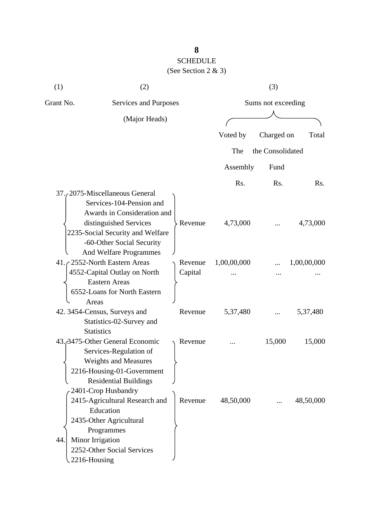# (See Section 2 & 3)

| (1)       | (2)                                                                                                                                                                           |                    |             | (3)                |             |
|-----------|-------------------------------------------------------------------------------------------------------------------------------------------------------------------------------|--------------------|-------------|--------------------|-------------|
| Grant No. | Services and Purposes                                                                                                                                                         |                    |             | Sums not exceeding |             |
|           | (Major Heads)                                                                                                                                                                 |                    |             |                    |             |
|           |                                                                                                                                                                               |                    | Voted by    | Charged on         | Total       |
|           |                                                                                                                                                                               |                    | The         | the Consolidated   |             |
|           |                                                                                                                                                                               |                    | Assembly    | Fund               |             |
|           |                                                                                                                                                                               |                    | Rs.         | R <sub>s</sub> .   | Rs.         |
|           | 37. 2075-Miscellaneous General<br>Services-104-Pension and<br>Awards in Consideration and<br>distinguished Services                                                           | Revenue            | 4,73,000    |                    | 4,73,000    |
|           | 2235-Social Security and Welfare<br>-60-Other Social Security<br>And Welfare Programmes<br>41. 2552-North Eastern Areas<br>4552-Capital Outlay on North                       | Revenue<br>Capital | 1,00,00,000 |                    | 1,00,00,000 |
|           | <b>Eastern Areas</b><br>6552-Loans for North Eastern<br>Areas                                                                                                                 |                    |             |                    |             |
|           | 42. 3454-Census, Surveys and<br>Statistics-02-Survey and<br><b>Statistics</b>                                                                                                 | Revenue            | 5,37,480    |                    | 5,37,480    |
|           | 43. 3475-Other General Economic<br>Services-Regulation of<br><b>Weights and Measures</b><br>2216-Housing-01-Government<br><b>Residential Buildings</b><br>2401-Crop Husbandry | Revenue            |             | 15,000             | 15,000      |
| 44.       | 2415-Agricultural Research and<br>Education<br>2435-Other Agricultural<br>Programmes<br>Minor Irrigation<br>2252-Other Social Services<br>2216-Housing                        | Revenue            | 48,50,000   |                    | 48,50,000   |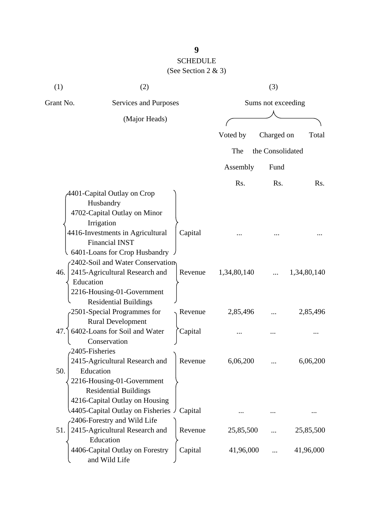### SCHEDULE  $\operatorname{S}_{\text{action}}$  2  $\mathbb{R}$  3)

|  |  | (See Section 2 $\&$ 3) |  |  |  |
|--|--|------------------------|--|--|--|
|--|--|------------------------|--|--|--|

| (1)                   | (2)                                                                                                                                                                                                                                                        |                    |                    | (3)                |                    |
|-----------------------|------------------------------------------------------------------------------------------------------------------------------------------------------------------------------------------------------------------------------------------------------------|--------------------|--------------------|--------------------|--------------------|
| Grant No.             | Services and Purposes                                                                                                                                                                                                                                      |                    |                    | Sums not exceeding |                    |
|                       | (Major Heads)                                                                                                                                                                                                                                              |                    |                    |                    |                    |
|                       |                                                                                                                                                                                                                                                            |                    | Voted by           | Charged on         | Total              |
|                       |                                                                                                                                                                                                                                                            |                    | The                | the Consolidated   |                    |
|                       |                                                                                                                                                                                                                                                            |                    | Assembly           | Fund               |                    |
|                       |                                                                                                                                                                                                                                                            |                    |                    |                    |                    |
| 46.                   | 4401-Capital Outlay on Crop<br>Husbandry<br>4702-Capital Outlay on Minor<br>Irrigation<br>4416-Investments in Agricultural<br><b>Financial INST</b><br>6401-Loans for Crop Husbandry<br>2402-Soil and Water Conservation<br>2415-Agricultural Research and | Capital<br>Revenue | Rs.<br>1,34,80,140 | Rs.                | Rs.<br>1,34,80,140 |
| Education             | 2216-Housing-01-Government<br><b>Residential Buildings</b><br>2501-Special Programmes for                                                                                                                                                                  | Revenue            | 2,85,496           |                    | 2,85,496           |
| 47.                   | <b>Rural Development</b><br>6402-Loans for Soil and Water<br>Conservation                                                                                                                                                                                  | Capital            |                    |                    |                    |
| 2405-Fisheries<br>50. | 2415-Agricultural Research and<br>Education<br>2216-Housing-01-Government<br><b>Residential Buildings</b><br>4216-Capital Outlay on Housing<br>4405-Capital Outlay on Fisheries                                                                            | Revenue            | 6,06,200           |                    | 6,06,200           |
|                       | 2406-Forestry and Wild Life                                                                                                                                                                                                                                | Capital            |                    |                    |                    |
| 51.                   | 2415-Agricultural Research and<br>Education                                                                                                                                                                                                                | Revenue            | 25,85,500          |                    | 25,85,500          |
|                       | 4406-Capital Outlay on Forestry<br>and Wild Life                                                                                                                                                                                                           | Capital            | 41,96,000          |                    | 41,96,000          |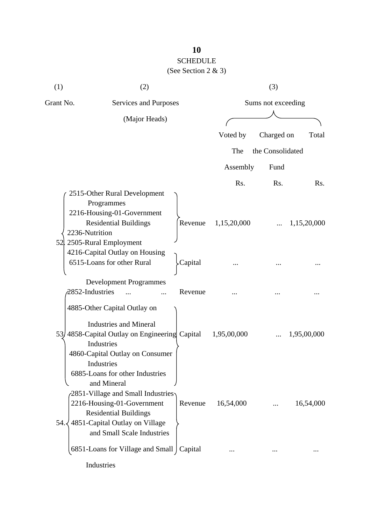#### SCHEDULE  $(S_{00}$  Section  $2 \& 3)$

|  | (See Section 2 $\&$ 3) |  |  |  |  |
|--|------------------------|--|--|--|--|
|--|------------------------|--|--|--|--|

| (1)       | (2)                                                                                                                                                                                                                             |                  | (3)                |             |  |
|-----------|---------------------------------------------------------------------------------------------------------------------------------------------------------------------------------------------------------------------------------|------------------|--------------------|-------------|--|
| Grant No. | <b>Services and Purposes</b>                                                                                                                                                                                                    |                  | Sums not exceeding |             |  |
|           | (Major Heads)                                                                                                                                                                                                                   |                  |                    |             |  |
|           |                                                                                                                                                                                                                                 | Voted by         | Charged on         | Total       |  |
|           |                                                                                                                                                                                                                                 | The              | the Consolidated   |             |  |
|           |                                                                                                                                                                                                                                 |                  |                    |             |  |
|           |                                                                                                                                                                                                                                 | Assembly         | Fund               |             |  |
|           |                                                                                                                                                                                                                                 | R <sub>s</sub> . | Rs.                | Rs.         |  |
|           | 2515-Other Rural Development<br>Programmes<br>2216-Housing-01-Government<br><b>Residential Buildings</b><br>Revenue<br>2236-Nutrition<br>52 2505-Rural Employment                                                               | 1,15,20,000      |                    | 1,15,20,000 |  |
|           | 4216-Capital Outlay on Housing<br>6515-Loans for other Rural<br>Capital                                                                                                                                                         |                  |                    |             |  |
|           | <b>Development Programmes</b><br>2852-Industries<br>Revenue                                                                                                                                                                     |                  |                    |             |  |
|           | 4885-Other Capital Outlay on<br><b>Industries and Mineral</b><br>53) 4858-Capital Outlay on Engineering Capital<br>Industries<br>4860-Capital Outlay on Consumer<br>Industries                                                  | 1,95,00,000      |                    | 1,95,00,000 |  |
| 54.3      | 6885-Loans for other Industries<br>and Mineral<br>$(2851-Village$ and Small Industries<br>2216-Housing-01-Government<br>Revenue<br><b>Residential Buildings</b><br>4851-Capital Outlay on Village<br>and Small Scale Industries | 16,54,000        |                    | 16,54,000   |  |
|           | 6851-Loans for Village and Small   Capital                                                                                                                                                                                      |                  |                    |             |  |
|           | Industries                                                                                                                                                                                                                      |                  |                    |             |  |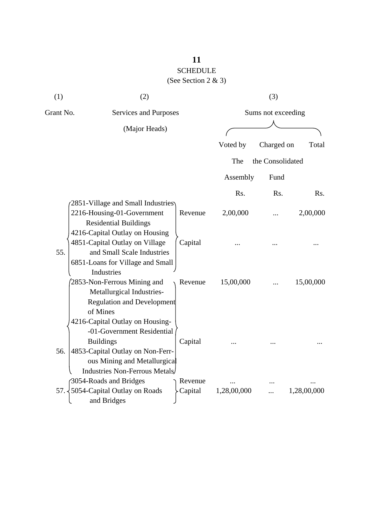| (1)       | (2)                                                                                                                               |         |                    | (3)              |             |
|-----------|-----------------------------------------------------------------------------------------------------------------------------------|---------|--------------------|------------------|-------------|
| Grant No. | Services and Purposes                                                                                                             |         | Sums not exceeding |                  |             |
|           | (Major Heads)                                                                                                                     |         |                    |                  |             |
|           |                                                                                                                                   |         | Voted by           | Charged on       | Total       |
|           |                                                                                                                                   |         | The                | the Consolidated |             |
|           |                                                                                                                                   |         | Assembly           | Fund             |             |
|           |                                                                                                                                   |         | Rs.                | Rs.              | Rs.         |
|           | 2851-Village and Small Industries<br>2216-Housing-01-Government<br><b>Residential Buildings</b><br>4216-Capital Outlay on Housing | Revenue | 2,00,000           |                  | 2,00,000    |
| 55.       | 4851-Capital Outlay on Village<br>and Small Scale Industries<br>6851-Loans for Village and Small<br>Industries                    | Capital |                    |                  |             |
|           | 2853-Non-Ferrous Mining and<br>Metallurgical Industries-<br><b>Regulation and Development</b><br>of Mines                         | Revenue | 15,00,000          |                  | 15,00,000   |
|           | 4216-Capital Outlay on Housing-<br>-01-Government Residential<br><b>Buildings</b>                                                 | Capital |                    |                  |             |
| 56.       | 4853-Capital Outlay on Non-Ferr-<br>ous Mining and Metallurgical<br><b>Industries Non-Ferrous Metals</b>                          |         |                    |                  |             |
|           | 3054-Roads and Bridges                                                                                                            | Revenue |                    |                  |             |
| $57. -$   | 5054-Capital Outlay on Roads<br>and Bridges                                                                                       | Capital | 1,28,00,000        |                  | 1,28,00,000 |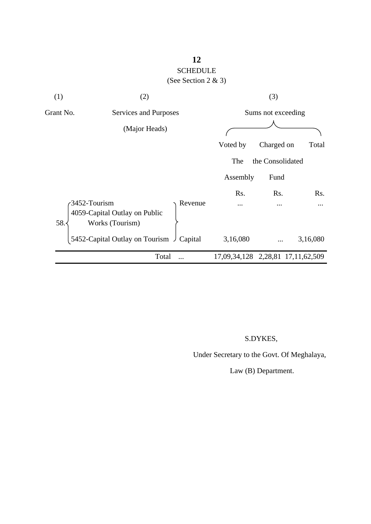### **12** SCHEDULE (See Section 2 & 3)

| (1)       | (2)                                                                         | (3)                |                  |                                   |
|-----------|-----------------------------------------------------------------------------|--------------------|------------------|-----------------------------------|
| Grant No. | Services and Purposes                                                       | Sums not exceeding |                  |                                   |
|           | (Major Heads)                                                               |                    |                  |                                   |
|           |                                                                             | Voted by           | Charged on       | Total                             |
|           |                                                                             | The                | the Consolidated |                                   |
|           |                                                                             | Assembly           | Fund             |                                   |
|           |                                                                             | Rs.                | Rs.              | Rs.                               |
| 58.       | 3452-Tourism<br>Revenue<br>4059-Capital Outlay on Public<br>Works (Tourism) |                    |                  |                                   |
|           | 5452-Capital Outlay on Tourism J<br>Capital                                 | 3,16,080           |                  | 3,16,080                          |
|           | Total                                                                       |                    |                  | 17,09,34,128 2,28,81 17,11,62,509 |
|           |                                                                             |                    |                  |                                   |

### S.DYKES,

Under Secretary to the Govt. Of Meghalaya,

Law (B) Department.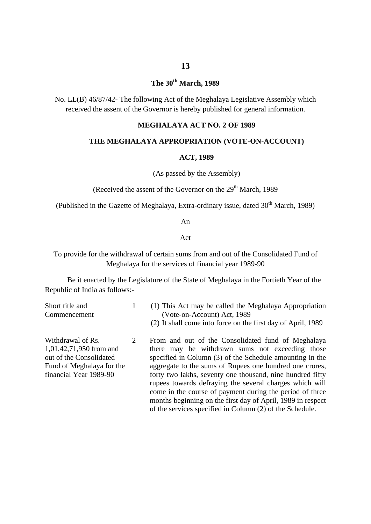### **The 30th March, 1989**

No. LL(B) 46/87/42- The following Act of the Meghalaya Legislative Assembly which received the assent of the Governor is hereby published for general information.

#### **MEGHALAYA ACT NO. 2 OF 1989**

#### **THE MEGHALAYA APPROPRIATION (VOTE-ON-ACCOUNT)**

#### **ACT, 1989**

(As passed by the Assembly)

(Received the assent of the Governor on the  $29<sup>th</sup>$  March, 1989

(Published in the Gazette of Meghalaya, Extra-ordinary issue, dated  $30<sup>th</sup>$  March, 1989)

#### An

#### Act

To provide for the withdrawal of certain sums from and out of the Consolidated Fund of Meghalaya for the services of financial year 1989-90

Be it enacted by the Legislature of the State of Meghalaya in the Fortieth Year of the Republic of India as follows:-

1

| Short title and |  |
|-----------------|--|
| Commencement    |  |

- (1) This Act may be called the Meghalaya Appropriation (Vote-on-Account) Act, 1989
	- (2) It shall come into force on the first day of April, 1989

Withdrawal of Rs. 1,01,42,71,950 from and out of the Consolidated Fund of Meghalaya for the financial Year 1989-90 2 From and out of the Consolidated fund of Meghalaya there may be withdrawn sums not exceeding those specified in Column (3) of the Schedule amounting in the aggregate to the sums of Rupees one hundred one crores, forty two lakhs, seventy one thousand, nine hundred fifty rupees towards defraying the several charges which will come in the course of payment during the period of three months beginning on the first day of April, 1989 in respect of the services specified in Column (2) of the Schedule.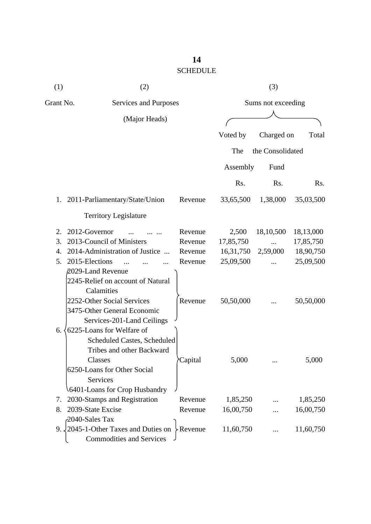| (1)       | (2)                                                                                                                                                                          |                |                    | (3)              |           |  |
|-----------|------------------------------------------------------------------------------------------------------------------------------------------------------------------------------|----------------|--------------------|------------------|-----------|--|
| Grant No. | Services and Purposes                                                                                                                                                        |                | Sums not exceeding |                  |           |  |
|           | (Major Heads)                                                                                                                                                                |                |                    |                  |           |  |
|           |                                                                                                                                                                              |                | Voted by           | Charged on       | Total     |  |
|           |                                                                                                                                                                              |                | The                | the Consolidated |           |  |
|           |                                                                                                                                                                              |                | Assembly           | Fund             |           |  |
|           |                                                                                                                                                                              |                | Rs.                | Rs.              | Rs.       |  |
|           | 1. 2011-Parliamentary/State/Union                                                                                                                                            | Revenue        | 33,65,500          | 1,38,000         | 35,03,500 |  |
|           | <b>Territory Legislature</b>                                                                                                                                                 |                |                    |                  |           |  |
| 2.        | 2012-Governor                                                                                                                                                                | Revenue        | 2,500              | 18,10,500        | 18,13,000 |  |
| 3.        | 2013-Council of Ministers                                                                                                                                                    | Revenue        | 17,85,750          |                  | 17,85,750 |  |
| 4.        | 2014-Administration of Justice                                                                                                                                               | Revenue        | 16,31,750          | 2,59,000         | 18,90,750 |  |
| 5.        | 2015-Elections                                                                                                                                                               | Revenue        | 25,09,500          |                  | 25,09,500 |  |
|           | 2029-Land Revenue<br>2245-Relief on account of Natural<br>Calamities<br>2252-Other Social Services<br>3475-Other General Economic<br>Services-201-Land Ceilings              | Revenue        | 50,50,000          |                  | 50,50,000 |  |
| 6.        | 6225-Loans for Welfare of<br>Scheduled Castes, Scheduled<br>Tribes and other Backward<br>Classes<br>6250-Loans for Other Social<br>Services<br>6401-Loans for Crop Husbandry | <i>Capital</i> | 5,000              |                  | 5,000     |  |
| 7.        | 2030-Stamps and Registration                                                                                                                                                 | Revenue        | 1,85,250           |                  | 1,85,250  |  |
| 8.        | 2039-State Excise                                                                                                                                                            | Revenue        | 16,00,750          |                  | 16,00,750 |  |
|           | 2040-Sales Tax                                                                                                                                                               |                |                    |                  |           |  |
|           | 9. $\sqrt{2045}$ -1-Other Taxes and Duties on<br><b>Commodities and Services</b>                                                                                             | > Revenue      | 11,60,750          |                  | 11,60,750 |  |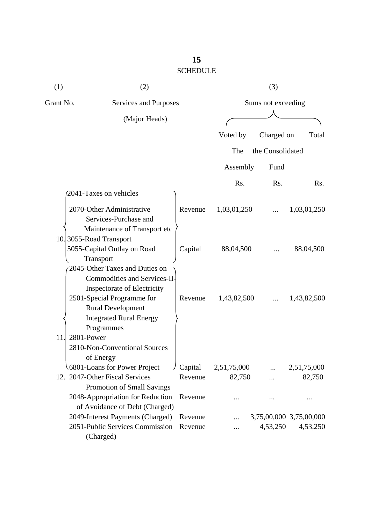| (1)       | (2)                                                |         | (3)                |                  |                         |  |
|-----------|----------------------------------------------------|---------|--------------------|------------------|-------------------------|--|
| Grant No. | <b>Services and Purposes</b>                       |         | Sums not exceeding |                  |                         |  |
|           | (Major Heads)                                      |         |                    |                  |                         |  |
|           |                                                    |         | Voted by           | Charged on       | Total                   |  |
|           |                                                    |         | The                | the Consolidated |                         |  |
|           |                                                    |         | Assembly           | Fund             |                         |  |
|           |                                                    |         |                    |                  |                         |  |
|           | 2041-Taxes on vehicles                             |         | R <sub>s</sub> .   | Rs.              | Rs.                     |  |
|           |                                                    |         |                    |                  |                         |  |
|           | 2070-Other Administrative<br>Services-Purchase and | Revenue | 1,03,01,250        |                  | 1,03,01,250             |  |
|           | Maintenance of Transport etc                       |         |                    |                  |                         |  |
|           | 10.3055-Road Transport                             |         |                    |                  |                         |  |
|           | 5055-Capital Outlay on Road                        | Capital | 88,04,500          |                  | 88,04,500               |  |
|           | Transport                                          |         |                    |                  |                         |  |
|           | 2045-Other Taxes and Duties on                     |         |                    |                  |                         |  |
|           | <b>Commodities and Services-II-</b>                |         |                    |                  |                         |  |
|           | Inspectorate of Electricity                        |         |                    |                  |                         |  |
|           | 2501-Special Programme for                         | Revenue | 1,43,82,500        |                  | 1,43,82,500             |  |
|           | <b>Rural Development</b>                           |         |                    |                  |                         |  |
|           | <b>Integrated Rural Energy</b>                     |         |                    |                  |                         |  |
|           | Programmes                                         |         |                    |                  |                         |  |
| 11.       | 2801-Power<br>2810-Non-Conventional Sources        |         |                    |                  |                         |  |
|           | of Energy                                          |         |                    |                  |                         |  |
|           | 6801-Loans for Power Project                       | Capital | 2,51,75,000        |                  | 2,51,75,000             |  |
|           | 12. 2047-Other Fiscal Services                     | Revenue | 82,750             | .                | 82,750                  |  |
|           | Promotion of Small Savings                         |         |                    |                  |                         |  |
|           | 2048-Appropriation for Reduction                   | Revenue |                    |                  |                         |  |
|           | of Avoidance of Debt (Charged)                     |         |                    |                  |                         |  |
|           | 2049-Interest Payments (Charged)                   | Revenue |                    |                  | 3,75,00,000 3,75,00,000 |  |
|           | 2051-Public Services Commission                    | Revenue |                    | 4,53,250         | 4,53,250                |  |
|           | (Charged)                                          |         |                    |                  |                         |  |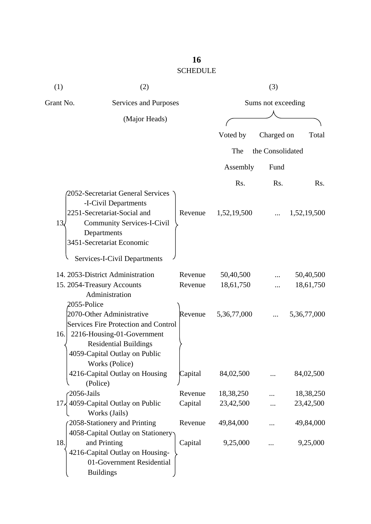| (1)             | (2)                                                                                              |         | (3)                |                  |             |
|-----------------|--------------------------------------------------------------------------------------------------|---------|--------------------|------------------|-------------|
| Grant No.       | Services and Purposes                                                                            |         | Sums not exceeding |                  |             |
|                 | (Major Heads)                                                                                    |         |                    |                  |             |
|                 |                                                                                                  |         | Voted by           | Charged on       | Total       |
|                 |                                                                                                  |         | The                | the Consolidated |             |
|                 |                                                                                                  |         | Assembly           | Fund             |             |
|                 |                                                                                                  |         | Rs.                | Rs.              | Rs.         |
|                 | 2052-Secretariat General Services<br>-I-Civil Departments<br>2251-Secretariat-Social and         | Revenue | 1,52,19,500        |                  | 1,52,19,500 |
| 13 <sub>4</sub> | <b>Community Services-I-Civil</b><br>Departments<br>3451-Secretariat Economic                    |         |                    |                  |             |
|                 | Services-I-Civil Departments                                                                     |         |                    |                  |             |
|                 | 14. 2053-District Administration                                                                 | Revenue | 50,40,500          |                  | 50,40,500   |
|                 | 15. 2054-Treasury Accounts<br>Administration                                                     | Revenue | 18,61,750          |                  | 18,61,750   |
| 2055-Police     | 2070-Other Administrative                                                                        | Revenue | 5,36,77,000        |                  | 5,36,77,000 |
| 16.             | Services Fire Protection and Control<br>2216-Housing-01-Government                               |         |                    |                  |             |
|                 | <b>Residential Buildings</b><br>4059-Capital Outlay on Public<br>Works (Police)                  |         |                    |                  |             |
|                 | 4216-Capital Outlay on Housing<br>(Police)                                                       | Capital | 84,02,500          |                  | 84,02,500   |
| 2056-Jails      |                                                                                                  | Revenue | 18,38,250          |                  | 18,38,250   |
|                 | $17\frac{1}{2}$ 4059-Capital Outlay on Public<br>Works (Jails)                                   | Capital | 23,42,500          |                  | 23,42,500   |
|                 | 2058-Stationery and Printing<br>4058-Capital Outlay on Stationery                                | Revenue | 49,84,000          |                  | 49,84,000   |
| 18.             | and Printing<br>4216-Capital Outlay on Housing-<br>01-Government Residential<br><b>Buildings</b> | Capital | 9,25,000           |                  | 9,25,000    |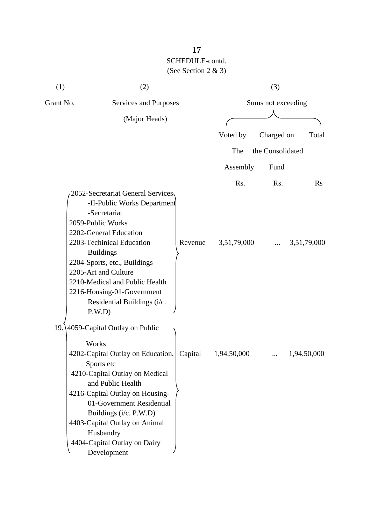| (1)       | (2)                                                                                                                                                                                                                                                                                                                                              |         |             | (3)                |             |  |
|-----------|--------------------------------------------------------------------------------------------------------------------------------------------------------------------------------------------------------------------------------------------------------------------------------------------------------------------------------------------------|---------|-------------|--------------------|-------------|--|
| Grant No. | Services and Purposes                                                                                                                                                                                                                                                                                                                            |         |             | Sums not exceeding |             |  |
|           | (Major Heads)                                                                                                                                                                                                                                                                                                                                    |         |             |                    |             |  |
|           |                                                                                                                                                                                                                                                                                                                                                  |         | Voted by    | Charged on         | Total       |  |
|           |                                                                                                                                                                                                                                                                                                                                                  |         | The         | the Consolidated   |             |  |
|           |                                                                                                                                                                                                                                                                                                                                                  |         | Assembly    | Fund               |             |  |
|           |                                                                                                                                                                                                                                                                                                                                                  |         | Rs.         | Rs.                | Rs          |  |
|           | 2052-Secretariat General Services<br>-II-Public Works Department<br>-Secretariat<br>2059-Public Works<br>2202-General Education<br>2203-Techinical Education<br><b>Buildings</b><br>2204-Sports, etc., Buildings<br>2205-Art and Culture<br>2210-Medical and Public Health<br>2216-Housing-01-Government<br>Residential Buildings (i/c.<br>P.W.D | Revenue | 3,51,79,000 |                    | 3,51,79,000 |  |
| 19.       | 4059-Capital Outlay on Public<br>Works<br>4202-Capital Outlay on Education,<br>Sports etc<br>4210-Capital Outlay on Medical<br>and Public Health<br>4216-Capital Outlay on Housing-<br>01-Government Residential<br>Buildings (i/c. P.W.D)<br>4403-Capital Outlay on Animal<br>Husbandry<br>4404-Capital Outlay on Dairy<br>Development          | Capital | 1,94,50,000 | .                  | 1,94,50,000 |  |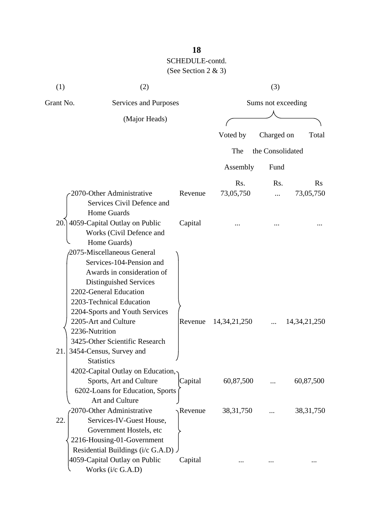| (1)       | (2)                                      |         |                    | (3)              |                 |  |
|-----------|------------------------------------------|---------|--------------------|------------------|-----------------|--|
| Grant No. | Services and Purposes                    |         | Sums not exceeding |                  |                 |  |
|           | (Major Heads)                            |         |                    |                  |                 |  |
|           |                                          |         | Voted by           | Charged on       | Total           |  |
|           |                                          |         |                    |                  |                 |  |
|           |                                          |         | The                | the Consolidated |                 |  |
|           |                                          |         | Assembly           | Fund             |                 |  |
|           |                                          |         | Rs.                | Rs.              | $\rm Rs$        |  |
|           | 2070-Other Administrative                | Revenue | 73,05,750          |                  | 73,05,750       |  |
|           | Services Civil Defence and               |         |                    |                  |                 |  |
|           | <b>Home Guards</b>                       |         |                    |                  |                 |  |
| 20.       | 4059-Capital Outlay on Public            | Capital |                    |                  |                 |  |
|           | Works (Civil Defence and<br>Home Guards) |         |                    |                  |                 |  |
|           | 2075-Miscellaneous General               |         |                    |                  |                 |  |
|           | Services-104-Pension and                 |         |                    |                  |                 |  |
|           | Awards in consideration of               |         |                    |                  |                 |  |
|           | Distinguished Services                   |         |                    |                  |                 |  |
|           | 2202-General Education                   |         |                    |                  |                 |  |
|           | 2203-Technical Education                 |         |                    |                  |                 |  |
|           | 2204-Sports and Youth Services           |         |                    |                  |                 |  |
|           | 2205-Art and Culture                     | Revenue | 14, 34, 21, 250    |                  | 14, 34, 21, 250 |  |
|           | 2236-Nutrition                           |         |                    |                  |                 |  |
|           | 3425-Other Scientific Research           |         |                    |                  |                 |  |
| 21.       | 3454-Census, Survey and                  |         |                    |                  |                 |  |
|           | <b>Statistics</b>                        |         |                    |                  |                 |  |
|           | 4202-Capital Outlay on Education,        |         |                    |                  |                 |  |
|           | Sports, Art and Culture                  | Capital | 60,87,500          |                  | 60,87,500       |  |
|           | 6202-Loans for Education, Sports         |         |                    |                  |                 |  |
|           | Art and Culture                          |         |                    |                  |                 |  |
|           | 2070-Other Administrative                | Revenue | 38, 31, 750        |                  | 38, 31, 750     |  |
| 22.       | Services-IV-Guest House,                 |         |                    |                  |                 |  |
|           | Government Hostels, etc                  |         |                    |                  |                 |  |
|           | 2216-Housing-01-Government               |         |                    |                  |                 |  |
|           | Residential Buildings (i/c G.A.D).       |         |                    |                  |                 |  |
|           | 4059-Capital Outlay on Public            | Capital |                    |                  |                 |  |
|           | Works (i/c G.A.D)                        |         |                    |                  |                 |  |
|           |                                          |         |                    |                  |                 |  |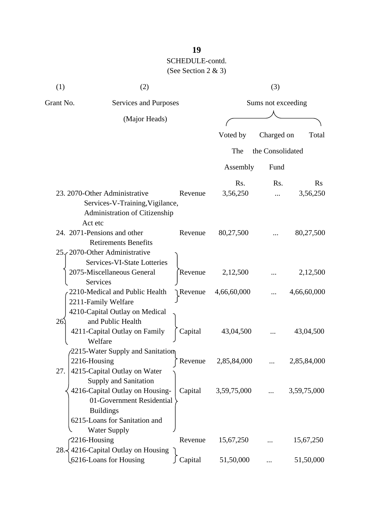| (1)       | (2)                                                                                                               |         |                    | (3)              |             |
|-----------|-------------------------------------------------------------------------------------------------------------------|---------|--------------------|------------------|-------------|
| Grant No. | Services and Purposes                                                                                             |         | Sums not exceeding |                  |             |
|           | (Major Heads)                                                                                                     |         |                    |                  |             |
|           |                                                                                                                   |         | Voted by           | Charged on       | Total       |
|           |                                                                                                                   |         | The                | the Consolidated |             |
|           |                                                                                                                   |         | Assembly           | Fund             |             |
|           |                                                                                                                   |         | Rs.                | Rs.              | $\rm Rs$    |
|           | 23. 2070-Other Administrative<br>Services-V-Training, Vigilance,<br>Administration of Citizenship                 | Revenue | 3,56,250           |                  | 3,56,250    |
|           | Act etc<br>24. 2071-Pensions and other<br><b>Retirements Benefits</b><br>25. 2070-Other Administrative            | Revenue | 80,27,500          |                  | 80,27,500   |
|           | Services-VI-State Lotteries<br>2075-Miscellaneous General<br>Services                                             | Revenue | 2,12,500           |                  | 2,12,500    |
|           | 2210-Medical and Public Health<br>2211-Family Welfare<br>4210-Capital Outlay on Medical                           | Revenue | 4,66,60,000        |                  | 4,66,60,000 |
| 26.       | and Public Health<br>4211-Capital Outlay on Family<br>Welfare                                                     | Capital | 43,04,500          |                  | 43,04,500   |
| 27.       | 2215-Water Supply and Sanitation<br>2216-Housing<br>4215-Capital Outlay on Water<br>Supply and Sanitation         | Revenue | 2,85,84,000        |                  | 2,85,84,000 |
|           | 4216-Capital Outlay on Housing-<br>01-Government Residential<br><b>Buildings</b><br>6215-Loans for Sanitation and | Capital | 3,59,75,000        |                  | 3,59,75,000 |
|           | <b>Water Supply</b><br>2216-Housing                                                                               | Revenue | 15,67,250          |                  | 15,67,250   |
|           | 28. $\frac{1}{2}$ 4216-Capital Outlay on Housing<br>6216-Loans for Housing                                        | Capital | 51,50,000          |                  | 51,50,000   |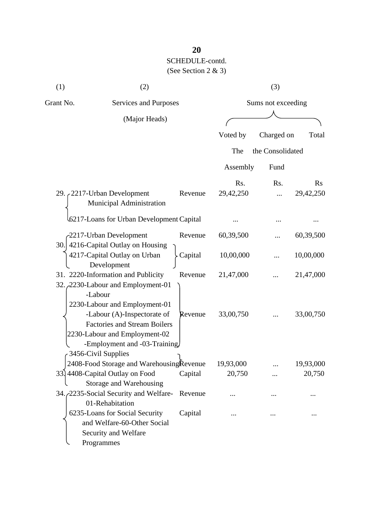| (1)       | (2)                                                                                                                                                                                                                                         |         |           | (3)                |                |
|-----------|---------------------------------------------------------------------------------------------------------------------------------------------------------------------------------------------------------------------------------------------|---------|-----------|--------------------|----------------|
| Grant No. | Services and Purposes                                                                                                                                                                                                                       |         |           | Sums not exceeding |                |
|           | (Major Heads)                                                                                                                                                                                                                               |         |           |                    |                |
|           |                                                                                                                                                                                                                                             |         | Voted by  | Charged on         | Total          |
|           |                                                                                                                                                                                                                                             |         | The       | the Consolidated   |                |
|           |                                                                                                                                                                                                                                             |         | Assembly  | Fund               |                |
|           |                                                                                                                                                                                                                                             |         | Rs.       | Rs.                | $\mathbf{R}$ s |
|           | 29. 2217-Urban Development<br>Municipal Administration                                                                                                                                                                                      | Revenue | 29,42,250 |                    | 29,42,250      |
|           | 6217-Loans for Urban Development Capital                                                                                                                                                                                                    |         |           |                    |                |
|           | -2217-Urban Development                                                                                                                                                                                                                     | Revenue | 60,39,500 |                    | 60,39,500      |
| 30.       | 4216-Capital Outlay on Housing<br>4217-Capital Outlay on Urban<br>Development                                                                                                                                                               | Capital | 10,00,000 |                    | 10,00,000      |
|           | 31. 2220-Information and Publicity                                                                                                                                                                                                          | Revenue | 21,47,000 |                    | 21,47,000      |
|           | 32. 2230-Labour and Employment-01<br>-Labour<br>2230-Labour and Employment-01<br>-Labour (A)-Inspectorate of<br><b>Factories and Stream Boilers</b><br>2230-Labour and Employment-02<br>-Employment and -03-Training<br>3456-Civil Supplies | Revenue | 33,00,750 |                    | 33,00,750      |
|           | 2408-Food Storage and Warehousing Revenue                                                                                                                                                                                                   |         | 19,93,000 |                    | 19,93,000      |

| 3456-Civil Supplies                          |         |           |          |           |
|----------------------------------------------|---------|-----------|----------|-----------|
| 2408-Food Storage and WarehousingRevenue     |         | 19,93,000 |          | 19,93,000 |
| 33.4408-Capital Outlay on Food               | Capital | 20,750    |          | 20,750    |
| Storage and Warehousing                      |         |           |          |           |
| 34. 2235-Social Security and Welfare-Revenue |         |           | $\cdots$ |           |
| 01-Rehabitation                              |         |           |          |           |
| 6235-Loans for Social Security               | Capital |           | .        | $\cdots$  |
| and Welfare-60-Other Social                  |         |           |          |           |
|                                              |         |           |          |           |

Security and Welfare

Programmes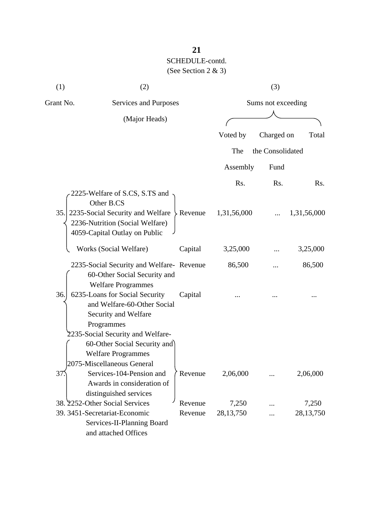| (1)       | (2)                                                                                                                          |           | (3)                |                  |             |  |
|-----------|------------------------------------------------------------------------------------------------------------------------------|-----------|--------------------|------------------|-------------|--|
| Grant No. | <b>Services and Purposes</b>                                                                                                 |           | Sums not exceeding |                  |             |  |
|           | (Major Heads)                                                                                                                |           |                    |                  |             |  |
|           |                                                                                                                              |           | Voted by           | Charged on       | Total       |  |
|           |                                                                                                                              |           | The                | the Consolidated |             |  |
|           |                                                                                                                              |           | Assembly           | Fund             |             |  |
|           |                                                                                                                              |           | Rs.                | Rs.              | Rs.         |  |
|           | 2225-Welfare of S.CS, S.TS and<br>Other B.CS                                                                                 |           |                    |                  |             |  |
| 35.       | 2235-Social Security and Welfare<br>2236-Nutrition (Social Welfare)<br>4059-Capital Outlay on Public                         | > Revenue | 1,31,56,000        |                  | 1,31,56,000 |  |
|           | Works (Social Welfare)                                                                                                       | Capital   | 3,25,000           |                  | 3,25,000    |  |
|           | 2235-Social Security and Welfare-Revenue<br>60-Other Social Security and<br><b>Welfare Programmes</b>                        |           | 86,500             |                  | 86,500      |  |
| 36.       | 6235-Loans for Social Security<br>and Welfare-60-Other Social<br>Security and Welfare<br>Programmes                          | Capital   |                    |                  |             |  |
|           | 2235-Social Security and Welfare-<br>60-Other Social Security and<br><b>Welfare Programmes</b><br>2075-Miscellaneous General |           |                    |                  |             |  |
| 37        | Services-104-Pension and<br>Awards in consideration of<br>distinguished services                                             | Revenue   | 2,06,000           |                  | 2,06,000    |  |
|           | 38. 2252-Other Social Services                                                                                               | Revenue   | 7,250              |                  | 7,250       |  |
|           | 39. 3451-Secretariat-Economic<br>Services-II-Planning Board<br>and attached Offices                                          | Revenue   | 28, 13, 750        |                  | 28,13,750   |  |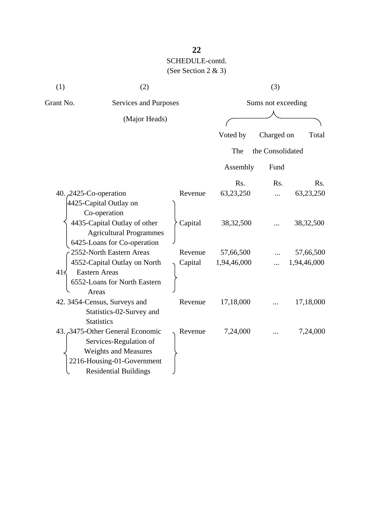| (1)       | (2)                                                                                                                                                    |         | (3)                |                  |             |  |
|-----------|--------------------------------------------------------------------------------------------------------------------------------------------------------|---------|--------------------|------------------|-------------|--|
| Grant No. | Services and Purposes                                                                                                                                  |         | Sums not exceeding |                  |             |  |
|           | (Major Heads)                                                                                                                                          |         |                    |                  |             |  |
|           |                                                                                                                                                        |         | Voted by           | Charged on       | Total       |  |
|           |                                                                                                                                                        |         | The                | the Consolidated |             |  |
|           |                                                                                                                                                        |         | Assembly           | Fund             |             |  |
|           |                                                                                                                                                        |         | Rs.                | Rs.              | Rs.         |  |
|           | 40. $2425$ -Co-operation                                                                                                                               | Revenue | 63,23,250          |                  | 63,23,250   |  |
|           | 4425-Capital Outlay on<br>Co-operation<br>4435-Capital Outlay of other<br><b>Agricultural Programmes</b><br>6425-Loans for Co-operation                | Capital | 38, 32, 500        |                  | 38, 32, 500 |  |
|           | 2552-North Eastern Areas                                                                                                                               | Revenue | 57,66,500          |                  | 57,66,500   |  |
| $41\leq$  | 4552-Capital Outlay on North<br><b>Eastern Areas</b><br>6552-Loans for North Eastern<br>Areas                                                          | Capital | 1,94,46,000        |                  | 1,94,46,000 |  |
|           | 42. 3454-Census, Surveys and<br>Statistics-02-Survey and<br><b>Statistics</b>                                                                          | Revenue | 17,18,000          |                  | 17,18,000   |  |
|           | 43. 3475-Other General Economic<br>Services-Regulation of<br><b>Weights and Measures</b><br>2216-Housing-01-Government<br><b>Residential Buildings</b> | Revenue | 7,24,000           |                  | 7,24,000    |  |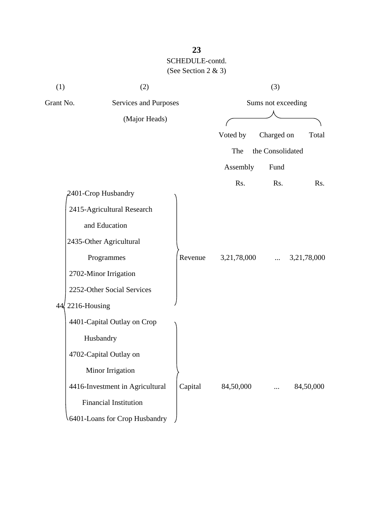| (1)       | (2)                             |         | (3)                |                  |             |
|-----------|---------------------------------|---------|--------------------|------------------|-------------|
| Grant No. | Services and Purposes           |         | Sums not exceeding |                  |             |
|           | (Major Heads)                   |         |                    |                  |             |
|           |                                 |         | Voted by           | Charged on       | Total       |
|           |                                 |         | The                | the Consolidated |             |
|           |                                 |         | Assembly           | Fund             |             |
|           |                                 |         | Rs.                | Rs.              | Rs.         |
|           | 2401-Crop Husbandry             |         |                    |                  |             |
|           | 2415-Agricultural Research      |         |                    |                  |             |
|           | and Education                   |         |                    |                  |             |
|           | 2435-Other Agricultural         |         |                    |                  |             |
|           | Programmes                      | Revenue | 3,21,78,000        |                  | 3,21,78,000 |
|           | 2702-Minor Irrigation           |         |                    |                  |             |
|           | 2252-Other Social Services      |         |                    |                  |             |
|           | 44, 2216-Housing                |         |                    |                  |             |
|           | 4401-Capital Outlay on Crop     |         |                    |                  |             |
|           | Husbandry                       |         |                    |                  |             |
|           | 4702-Capital Outlay on          |         |                    |                  |             |
|           | Minor Irrigation                |         |                    |                  |             |
|           | 4416-Investment in Agricultural | Capital | 84,50,000          |                  | 84,50,000   |
|           | <b>Financial Institution</b>    |         |                    |                  |             |
|           | 6401-Loans for Crop Husbandry   |         |                    |                  |             |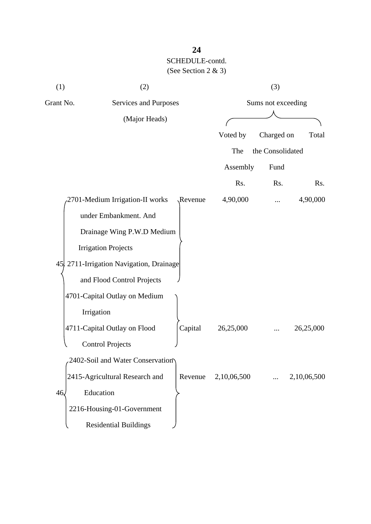| (1)             | (2)                                      |         | (3)                |                  |             |  |
|-----------------|------------------------------------------|---------|--------------------|------------------|-------------|--|
| Grant No.       | Services and Purposes                    |         | Sums not exceeding |                  |             |  |
|                 | (Major Heads)                            |         |                    |                  |             |  |
|                 |                                          |         | Voted by           | Charged on       | Total       |  |
|                 |                                          |         | The                | the Consolidated |             |  |
|                 |                                          |         | Assembly           | Fund             |             |  |
|                 |                                          |         | Rs.                | Rs.              | Rs.         |  |
|                 | 2701-Medium Irrigation-II works          | Revenue | 4,90,000           |                  | 4,90,000    |  |
|                 | under Embankment. And                    |         |                    |                  |             |  |
|                 | Drainage Wing P.W.D Medium               |         |                    |                  |             |  |
|                 | <b>Irrigation Projects</b>               |         |                    |                  |             |  |
|                 | 45. 2711-Irrigation Navigation, Drainage |         |                    |                  |             |  |
|                 | and Flood Control Projects               |         |                    |                  |             |  |
|                 | 4701-Capital Outlay on Medium            |         |                    |                  |             |  |
|                 | Irrigation                               |         |                    |                  |             |  |
|                 | 4711-Capital Outlay on Flood             | Capital | 26,25,000          |                  | 26,25,000   |  |
|                 | <b>Control Projects</b>                  |         |                    |                  |             |  |
|                 | 2402-Soil and Water Conservation         |         |                    |                  |             |  |
|                 | 2415-Agricultural Research and           | Revenue | 2,10,06,500        |                  | 2,10,06,500 |  |
| 46 <sub>l</sub> | Education                                |         |                    |                  |             |  |
|                 | 2216-Housing-01-Government               |         |                    |                  |             |  |
|                 | <b>Residential Buildings</b>             |         |                    |                  |             |  |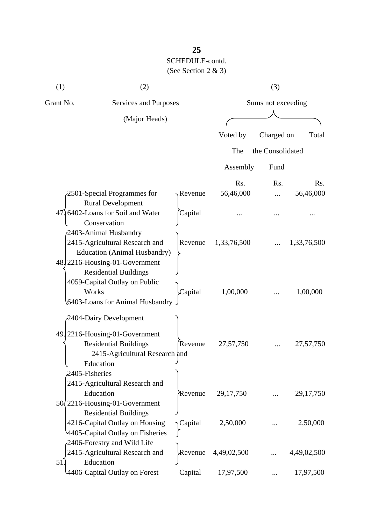| (1)<br>(2)                         |                                                                                                                                         | (3)                |             |                  |             |
|------------------------------------|-----------------------------------------------------------------------------------------------------------------------------------------|--------------------|-------------|------------------|-------------|
| Grant No.<br>Services and Purposes |                                                                                                                                         | Sums not exceeding |             |                  |             |
|                                    | (Major Heads)                                                                                                                           |                    |             |                  |             |
|                                    |                                                                                                                                         |                    | Voted by    | Charged on       | Total       |
|                                    |                                                                                                                                         |                    | The         | the Consolidated |             |
|                                    |                                                                                                                                         |                    | Assembly    | Fund             |             |
|                                    |                                                                                                                                         |                    | Rs.         | Rs.              | Rs.         |
|                                    | 2501-Special Programmes for                                                                                                             | Revenue            | 56,46,000   |                  | 56,46,000   |
|                                    | <b>Rural Development</b><br>47. 6402-Loans for Soil and Water<br>Conservation                                                           | Capital            |             |                  |             |
|                                    | 2403-Animal Husbandry<br>2415-Agricultural Research and<br><b>Education (Animal Husbandry)</b><br>48. 2216-Housing-01-Government        | Revenue            | 1,33,76,500 |                  | 1,33,76,500 |
| Works                              | <b>Residential Buildings</b><br>4059-Capital Outlay on Public<br>6403-Loans for Animal Husbandry                                        | Capital            | 1,00,000    |                  | 1,00,000    |
| 2405-Fisheries                     | 2404-Dairy Development<br>49. 2216-Housing-01-Government<br><b>Residential Buildings</b><br>2415-Agricultural Research and<br>Education | Revenue            | 27,57,750   |                  | 27,57,750   |
|                                    | 2415-Agricultural Research and<br>Education<br>$50\sqrt{2216}$ -Housing-01-Government<br><b>Residential Buildings</b>                   | Revenue            | 29, 17, 750 |                  | 29, 17, 750 |
|                                    | 4216-Capital Outlay on Housing<br>4405-Capital Outlay on Fisheries<br>2406-Forestry and Wild Life                                       | Capital            | 2,50,000    |                  | 2,50,000    |
| 51.                                | 2415-Agricultural Research and<br>Education                                                                                             | Revenue            | 4,49,02,500 |                  | 4,49,02,500 |
|                                    | 4406-Capital Outlay on Forest                                                                                                           | Capital            | 17,97,500   |                  | 17,97,500   |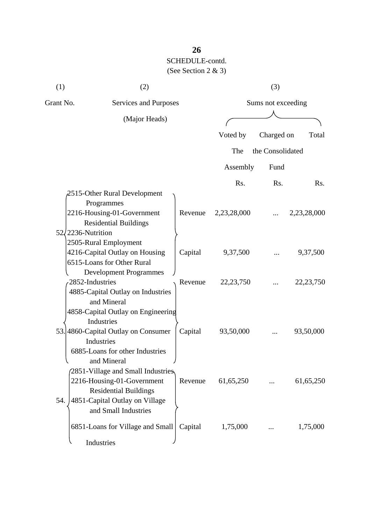| (1) | (2)                                                                                                                                              |         | (3)                |                  |             |  |
|-----|--------------------------------------------------------------------------------------------------------------------------------------------------|---------|--------------------|------------------|-------------|--|
|     | Grant No.<br>Services and Purposes                                                                                                               |         | Sums not exceeding |                  |             |  |
|     | (Major Heads)                                                                                                                                    |         |                    |                  |             |  |
|     |                                                                                                                                                  |         | Voted by           | Charged on       | Total       |  |
|     |                                                                                                                                                  |         | The                | the Consolidated |             |  |
|     |                                                                                                                                                  |         | Assembly           | Fund             |             |  |
|     |                                                                                                                                                  |         | Rs.                | R <sub>s</sub> . | Rs.         |  |
|     | 2515-Other Rural Development<br>Programmes<br>2216-Housing-01-Government<br><b>Residential Buildings</b><br>$52/2236$ -Nutrition                 | Revenue | 2,23,28,000        |                  | 2,23,28,000 |  |
|     | 2505-Rural Employment<br>4216-Capital Outlay on Housing<br>6515-Loans for Other Rural                                                            | Capital | 9,37,500           |                  | 9,37,500    |  |
|     | <b>Development Programmes</b><br>2852-Industries<br>4885-Capital Outlay on Industries<br>and Mineral                                             | Revenue | 22, 23, 750        |                  | 22, 23, 750 |  |
|     | 4858-Capital Outlay on Engineering<br>Industries<br>53. 4860-Capital Outlay on Consumer<br>Industries<br>6885-Loans for other Industries         | Capital | 93,50,000          |                  | 93,50,000   |  |
| 54. | and Mineral<br>2851-Village and Small Industries<br>2216-Housing-01-Government<br><b>Residential Buildings</b><br>4851-Capital Outlay on Village | Revenue | 61,65,250          |                  | 61,65,250   |  |
|     | and Small Industries<br>6851-Loans for Village and Small<br>Industries                                                                           | Capital | 1,75,000           |                  | 1,75,000    |  |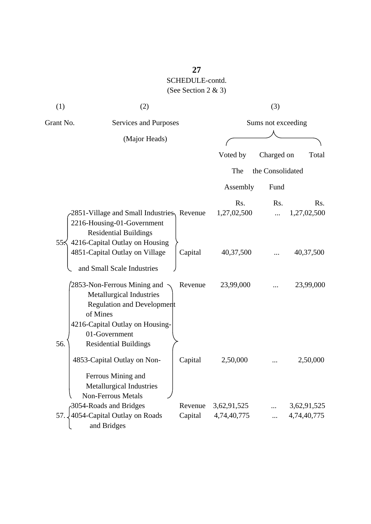| (1)       |                                                                                                                                                                                       | (2)<br>(3)         |                            |                    |                            |  |  |
|-----------|---------------------------------------------------------------------------------------------------------------------------------------------------------------------------------------|--------------------|----------------------------|--------------------|----------------------------|--|--|
| Grant No. | <b>Services and Purposes</b>                                                                                                                                                          |                    |                            | Sums not exceeding |                            |  |  |
|           | (Major Heads)                                                                                                                                                                         |                    |                            |                    |                            |  |  |
|           |                                                                                                                                                                                       |                    | Voted by                   | Charged on         | Total                      |  |  |
|           |                                                                                                                                                                                       |                    | The                        | the Consolidated   |                            |  |  |
|           |                                                                                                                                                                                       |                    | Assembly                   | Fund               |                            |  |  |
|           | 2851-Village and Small Industries, Revenue<br>2216-Housing-01-Government<br><b>Residential Buildings</b>                                                                              |                    | Rs.<br>1,27,02,500         | Rs.<br>.           | Rs.<br>1,27,02,500         |  |  |
|           | 55 $\lesssim$ 4216-Capital Outlay on Housing<br>4851-Capital Outlay on Village<br>and Small Scale Industries                                                                          | Capital            | 40,37,500                  |                    | 40,37,500                  |  |  |
| 56.       | 2853-Non-Ferrous Mining and<br>Metallurgical Industries<br>Regulation and Development<br>of Mines<br>4216-Capital Outlay on Housing-<br>01-Government<br><b>Residential Buildings</b> | Revenue            | 23,99,000                  |                    | 23,99,000                  |  |  |
|           | 4853-Capital Outlay on Non-<br>Ferrous Mining and<br><b>Metallurgical Industries</b>                                                                                                  | Capital            | 2,50,000                   |                    | 2,50,000                   |  |  |
| 57.       | <b>Non-Ferrous Metals</b><br>3054-Roads and Bridges<br>4054-Capital Outlay on Roads<br>and Bridges                                                                                    | Revenue<br>Capital | 3,62,91,525<br>4,74,40,775 |                    | 3,62,91,525<br>4,74,40,775 |  |  |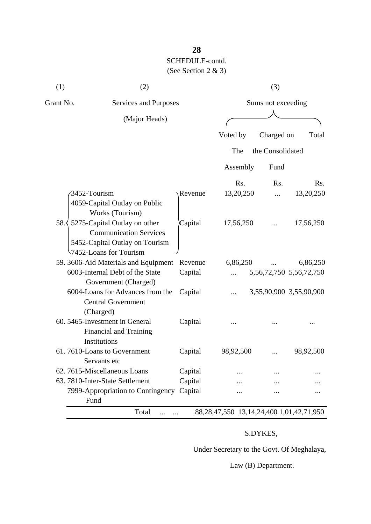| (1)       | (2)                                                                                                                                         |         | (3)       |                    |                               |  |
|-----------|---------------------------------------------------------------------------------------------------------------------------------------------|---------|-----------|--------------------|-------------------------------|--|
| Grant No. | Services and Purposes                                                                                                                       |         |           | Sums not exceeding |                               |  |
|           | (Major Heads)                                                                                                                               |         |           |                    |                               |  |
|           |                                                                                                                                             |         | Voted by  | Charged on         | Total                         |  |
|           |                                                                                                                                             |         | The       | the Consolidated   |                               |  |
|           |                                                                                                                                             |         | Assembly  | Fund               |                               |  |
|           |                                                                                                                                             |         | Rs.       | Rs.                | Rs.                           |  |
|           | 3452-Tourism                                                                                                                                | Revenue | 13,20,250 |                    | 13,20,250                     |  |
|           | 4059-Capital Outlay on Public<br>Works (Tourism)                                                                                            |         |           |                    |                               |  |
|           | 58. $\frac{1}{2}$ 5275-Capital Outlay on other<br><b>Communication Services</b><br>5452-Capital Outlay on Tourism<br>7452-Loans for Tourism | Capital | 17,56,250 |                    | 17,56,250                     |  |
|           | 59. 3606-Aid Materials and Equipment                                                                                                        | Revenue | 6,86,250  |                    | 6,86,250                      |  |
|           | 6003-Internal Debt of the State                                                                                                             | Capital |           |                    | 5, 56, 72, 750 5, 56, 72, 750 |  |
|           | Government (Charged)                                                                                                                        |         |           |                    |                               |  |
|           | 6004-Loans for Advances from the<br><b>Central Government</b>                                                                               | Capital |           |                    | 3,55,90,900 3,55,90,900       |  |
|           | (Charged)<br>60. 5465-Investment in General<br><b>Financial and Training</b><br>Institutions                                                | Capital |           |                    |                               |  |
|           | 61.7610-Loans to Government                                                                                                                 | Capital | 98,92,500 |                    | 98,92,500                     |  |
|           | Servants etc                                                                                                                                |         |           |                    |                               |  |
|           | 62.7615-Miscellaneous Loans                                                                                                                 | Capital |           |                    |                               |  |
|           | 63. 7810-Inter-State Settlement                                                                                                             | Capital |           |                    |                               |  |
|           | 7999-Appropriation to Contingency Capital<br>Fund                                                                                           |         |           |                    |                               |  |

# S.DYKES,

Under Secretary to the Govt. Of Meghalaya,

Law (B) Department.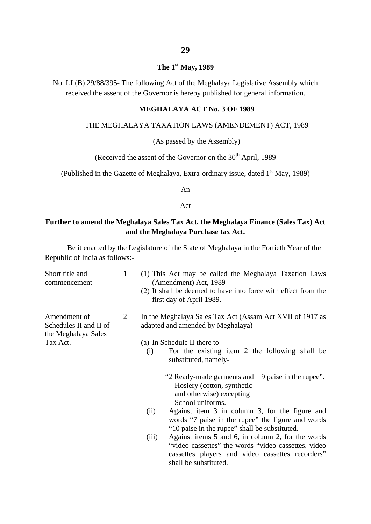### **The 1st May, 1989**

No. LL(B) 29/88/395- The following Act of the Meghalaya Legislative Assembly which received the assent of the Governor is hereby published for general information.

#### **MEGHALAYA ACT No. 3 OF 1989**

#### THE MEGHALAYA TAXATION LAWS (AMENDEMENT) ACT, 1989

#### (As passed by the Assembly)

(Received the assent of the Governor on the  $30<sup>th</sup>$  April, 1989

(Published in the Gazette of Meghalaya, Extra-ordinary issue, dated  $1<sup>st</sup>$  May, 1989)

An

Act

#### **Further to amend the Meghalaya Sales Tax Act, the Meghalaya Finance (Sales Tax) Act and the Meghalaya Purchase tax Act.**

Be it enacted by the Legislature of the State of Meghalaya in the Fortieth Year of the Republic of India as follows:-

| Short title and<br>commencement                               | 1 | (1) This Act may be called the Meghalaya Taxation Laws<br>(Amendment) Act, 1989<br>(2) It shall be deemed to have into force with effect from the<br>first day of April 1989.                  |
|---------------------------------------------------------------|---|------------------------------------------------------------------------------------------------------------------------------------------------------------------------------------------------|
| Amendment of<br>Schedules II and II of<br>the Meghalaya Sales | 2 | In the Meghalaya Sales Tax Act (Assam Act XVII of 1917 as<br>adapted and amended by Meghalaya)-                                                                                                |
| Tax Act.                                                      |   | (a) In Schedule II there to-                                                                                                                                                                   |
|                                                               |   | For the existing item 2 the following shall be<br>(i)<br>substituted, namely-                                                                                                                  |
|                                                               |   | "2 Ready-made garments and 9 paise in the rupee".<br>Hosiery (cotton, synthetic<br>and otherwise) excepting<br>School uniforms.                                                                |
|                                                               |   | Against item 3 in column 3, for the figure and<br>(ii)<br>words "7 paise in the rupee" the figure and words<br>"10 paise in the rupee" shall be substituted.                                   |
|                                                               |   | Against items 5 and 6, in column 2, for the words<br>(iii)<br>"video cassettes" the words "video cassettes, video<br>cassettes players and video cassettes recorders"<br>shall be substituted. |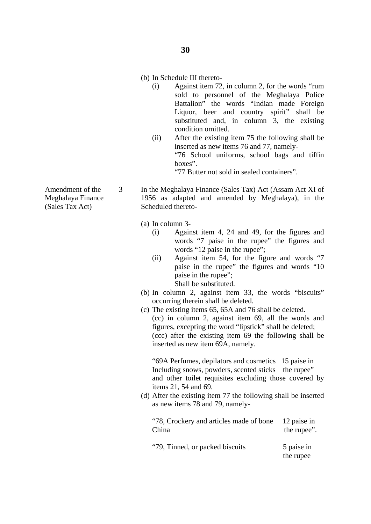#### (b) In Schedule III thereto-

- (i) Against item 72, in column 2, for the words "rum sold to personnel of the Meghalaya Police Battalion" the words "Indian made Foreign Liquor, beer and country spirit" shall be substituted and, in column 3, the existing condition omitted.
- (ii) After the existing item 75 the following shall be inserted as new items 76 and 77, namely- "76 School uniforms, school bags and tiffin boxes".

"77 Butter not sold in sealed containers".

In the Meghalaya Finance (Sales Tax) Act (Assam Act XI of 1956 as adapted and amended by Meghalaya), in the Scheduled thereto-

- (a) In column 3-
	- (i) Against item 4, 24 and 49, for the figures and words "7 paise in the rupee" the figures and words "12 paise in the rupee";
	- (ii) Against item 54, for the figure and words "7 paise in the rupee" the figures and words "10 paise in the rupee"; Shall be substituted.
- (b) In column 2, against item 33, the words "biscuits" occurring therein shall be deleted.
- (c) The existing items 65, 65A and 76 shall be deleted. (cc) in column 2, against item 69, all the words and figures, excepting the word "lipstick" shall be deleted; (ccc) after the existing item 69 the following shall be inserted as new item 69A, namely.

"69A Perfumes, depilators and cosmetics 15 paise in Including snows, powders, scented sticks the rupee" and other toilet requisites excluding those covered by items 21, 54 and 69.

(d) After the existing item 77 the following shall be inserted as new items 78 and 79, namely-

"78, Crockery and articles made of bone 12 paise in China the rupee". "79. Tinned, or packed biscuits 5 paise in the rupee

Amendment of the Meghalaya Finance (Sales Tax Act)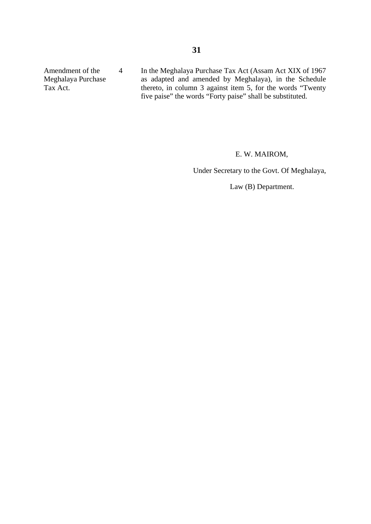Amendment of the Meghalaya Purchase Tax Act. 4 In the Meghalaya Purchase Tax Act (Assam Act XIX of 1967 as adapted and amended by Meghalaya), in the Schedule thereto, in column 3 against item 5, for the words "Twenty five paise" the words "Forty paise" shall be substituted.

#### E. W. MAIROM,

Under Secretary to the Govt. Of Meghalaya,

Law (B) Department.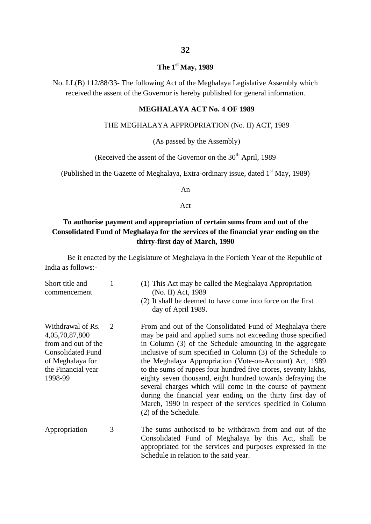#### **The 1st May, 1989**

No. LL(B) 112/88/33- The following Act of the Meghalaya Legislative Assembly which received the assent of the Governor is hereby published for general information.

#### **MEGHALAYA ACT No. 4 OF 1989**

#### THE MEGHALAYA APPROPRIATION (No. II) ACT, 1989

(As passed by the Assembly)

(Received the assent of the Governor on the  $30<sup>th</sup>$  April, 1989

(Published in the Gazette of Meghalaya, Extra-ordinary issue, dated  $1<sup>st</sup>$  May, 1989)

An

Act

#### **To authorise payment and appropriation of certain sums from and out of the Consolidated Fund of Meghalaya for the services of the financial year ending on the thirty-first day of March, 1990**

Be it enacted by the Legislature of Meghalaya in the Fortieth Year of the Republic of India as follows:-

| Short title and<br>commencement                                                                                                             | 1 | (1) This Act may be called the Meghalaya Appropriation<br>(No. II) Act, 1989<br>(2) It shall be deemed to have come into force on the first<br>day of April 1989.                                                                                                                                                                                                                                                                                                                                                                                                                                                                                             |
|---------------------------------------------------------------------------------------------------------------------------------------------|---|---------------------------------------------------------------------------------------------------------------------------------------------------------------------------------------------------------------------------------------------------------------------------------------------------------------------------------------------------------------------------------------------------------------------------------------------------------------------------------------------------------------------------------------------------------------------------------------------------------------------------------------------------------------|
| Withdrawal of Rs.<br>4,05,70,87,800<br>from and out of the<br><b>Consolidated Fund</b><br>of Meghalaya for<br>the Financial year<br>1998-99 | 2 | From and out of the Consolidated Fund of Meghalaya there<br>may be paid and applied sums not exceeding those specified<br>in Column (3) of the Schedule amounting in the aggregate<br>inclusive of sum specified in Column (3) of the Schedule to<br>the Meghalaya Appropriation (Vote-on-Account) Act, 1989<br>to the sums of rupees four hundred five crores, seventy lakhs,<br>eighty seven thousand, eight hundred towards defraying the<br>several charges which will come in the course of payment<br>during the financial year ending on the thirty first day of<br>March, 1990 in respect of the services specified in Column<br>(2) of the Schedule. |
| Appropriation                                                                                                                               | 3 | The sums authorised to be withdrawn from and out of the<br>Consolidated Fund of Meghalaya by this Act, shall be<br>appropriated for the services and purposes expressed in the<br>Schedule in relation to the said year.                                                                                                                                                                                                                                                                                                                                                                                                                                      |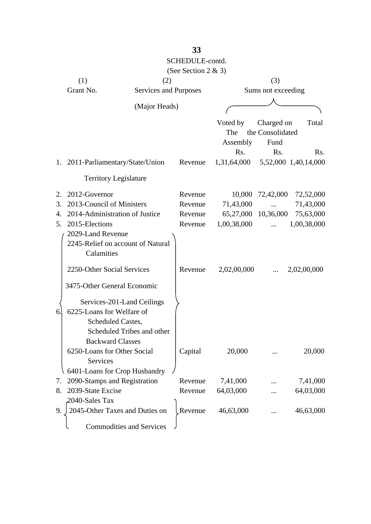|                                                        |                                 | SCHEDULE-contd.     |                     |                    |                      |
|--------------------------------------------------------|---------------------------------|---------------------|---------------------|--------------------|----------------------|
|                                                        |                                 | (See Section 2 & 3) |                     |                    |                      |
| (1)                                                    | (2)                             |                     | (3)                 |                    |                      |
| Grant No.                                              | Services and Purposes           |                     |                     | Sums not exceeding |                      |
|                                                        |                                 |                     |                     |                    |                      |
|                                                        | (Major Heads)                   |                     |                     |                    |                      |
|                                                        |                                 |                     | Voted by            | Charged on         | Total                |
|                                                        |                                 |                     | The                 | the Consolidated   |                      |
|                                                        |                                 |                     | Assembly            | Fund               |                      |
|                                                        |                                 |                     | Rs.                 | Rs.                | Rs.                  |
| 1. 2011-Parliamentary/State/Union                      |                                 | Revenue             | 1,31,64,000         |                    | 5,52,000 1,40,14,000 |
| <b>Territory Legislature</b>                           |                                 |                     |                     |                    |                      |
| 2012-Governor<br>2.                                    |                                 | Revenue             | 10,000              | 72,42,000          | 72,52,000            |
| 2013-Council of Ministers<br>3.                        |                                 | Revenue             | 71,43,000           |                    | 71,43,000            |
| 2014-Administration of Justice<br>$\mathbf{4}_{\cdot}$ |                                 | Revenue             | 65,27,000 10,36,000 |                    | 75,63,000            |
| 2015-Elections<br>5.                                   |                                 | Revenue             | 1,00,38,000         |                    | 1,00,38,000          |
| 2029-Land Revenue                                      |                                 |                     |                     |                    |                      |
| 2245-Relief on account of Natural                      |                                 |                     |                     |                    |                      |
| Calamities                                             |                                 |                     |                     |                    |                      |
| 2250-Other Social Services                             |                                 | Revenue             | 2,02,00,000         |                    | 2,02,00,000          |
| 3475-Other General Economic                            |                                 |                     |                     |                    |                      |
| Services-201-Land Ceilings                             |                                 |                     |                     |                    |                      |
| 6225-Loans for Welfare of<br>6.                        |                                 |                     |                     |                    |                      |
| Scheduled Castes,                                      |                                 |                     |                     |                    |                      |
|                                                        | Scheduled Tribes and other      |                     |                     |                    |                      |
| <b>Backward Classes</b>                                |                                 |                     |                     |                    |                      |
| 6250-Loans for Other Social                            |                                 | Capital             | 20,000              |                    | 20,000               |
| Services                                               |                                 |                     |                     |                    |                      |
| 6401-Loans for Crop Husbandry                          |                                 |                     |                     |                    |                      |
| 2090-Stamps and Registration<br>7.                     |                                 | Revenue             | 7,41,000            |                    | 7,41,000             |
| 2039-State Excise<br>8.                                |                                 | Revenue             | 64,03,000           |                    | 64,03,000            |
| 2040-Sales Tax                                         |                                 |                     |                     |                    |                      |
| 2045-Other Taxes and Duties on<br>9.                   |                                 | Revenue             | 46,63,000           |                    | 46,63,000            |
|                                                        | <b>Commodities and Services</b> |                     |                     |                    |                      |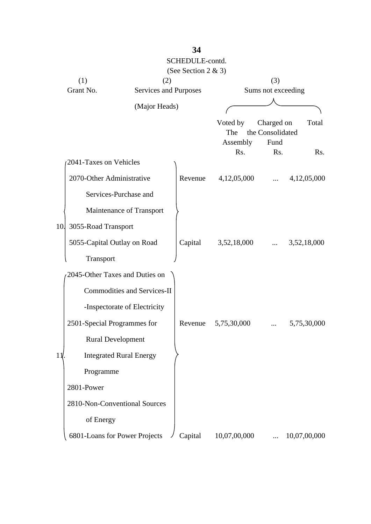|                               |                                    | SCHEDULE-contd.     |                    |                                |                  |
|-------------------------------|------------------------------------|---------------------|--------------------|--------------------------------|------------------|
| (1)                           | (2)                                | (See Section 2 & 3) |                    | (3)                            |                  |
| Grant No.                     | Services and Purposes              |                     | Sums not exceeding |                                |                  |
|                               | (Major Heads)                      |                     |                    |                                |                  |
|                               |                                    |                     |                    |                                |                  |
|                               |                                    |                     | Voted by<br>The    | Charged on<br>the Consolidated | Total            |
|                               |                                    |                     | Assembly           | Fund                           |                  |
| 2041-Taxes on Vehicles        |                                    |                     | Rs.                | Rs.                            | R <sub>s</sub> . |
| 2070-Other Administrative     |                                    | Revenue             | 4,12,05,000        |                                | 4,12,05,000      |
|                               | Services-Purchase and              |                     |                    |                                |                  |
|                               | Maintenance of Transport           |                     |                    |                                |                  |
| 3055-Road Transport<br>10.    |                                    |                     |                    |                                |                  |
| 5055-Capital Outlay on Road   |                                    | Capital             | 3,52,18,000        |                                | 3,52,18,000      |
| Transport                     |                                    |                     |                    |                                |                  |
|                               | 2045-Other Taxes and Duties on     |                     |                    |                                |                  |
|                               | <b>Commodities and Services-II</b> |                     |                    |                                |                  |
|                               | -Inspectorate of Electricity       |                     |                    |                                |                  |
| 2501-Special Programmes for   |                                    | Revenue             | 5,75,30,000        |                                | 5,75,30,000      |
| <b>Rural Development</b>      |                                    |                     |                    |                                |                  |
| $11$ .                        | <b>Integrated Rural Energy</b>     |                     |                    |                                |                  |
| Programme                     |                                    |                     |                    |                                |                  |
| 2801-Power                    |                                    |                     |                    |                                |                  |
|                               | 2810-Non-Conventional Sources      |                     |                    |                                |                  |
| of Energy                     |                                    |                     |                    |                                |                  |
| 6801-Loans for Power Projects |                                    | Capital             | 10,07,00,000       |                                | 10,07,00,000     |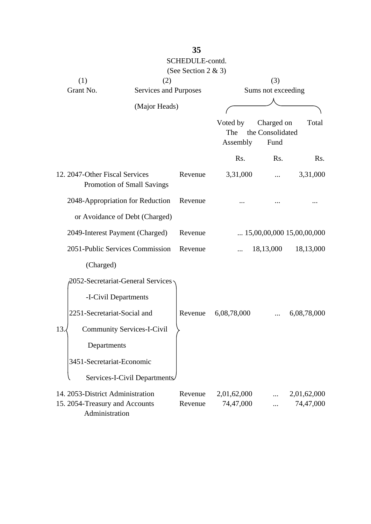|                                                                                      |                                   | SCHEDULE-contd.<br>(See Section 2 & 3) |                             |                                        |                          |
|--------------------------------------------------------------------------------------|-----------------------------------|----------------------------------------|-----------------------------|----------------------------------------|--------------------------|
| (1)                                                                                  | (2)                               |                                        |                             | (3)                                    |                          |
| Grant No.                                                                            | Services and Purposes             |                                        |                             | Sums not exceeding                     |                          |
|                                                                                      | (Major Heads)                     |                                        |                             |                                        |                          |
|                                                                                      |                                   |                                        | Voted by<br>The<br>Assembly | Charged on<br>the Consolidated<br>Fund | Total                    |
|                                                                                      |                                   |                                        | Rs.                         | Rs.                                    | Rs.                      |
| 12. 2047-Other Fiscal Services                                                       | Promotion of Small Savings        | Revenue                                | 3,31,000                    |                                        | 3,31,000                 |
|                                                                                      | 2048-Appropriation for Reduction  | Revenue                                |                             |                                        |                          |
|                                                                                      | or Avoidance of Debt (Charged)    |                                        |                             |                                        |                          |
| 2049-Interest Payment (Charged)                                                      |                                   | Revenue                                |                             | $\ldots$ 15,00,00,000 15,00,00,000     |                          |
|                                                                                      | 2051-Public Services Commission   | Revenue                                |                             | 18,13,000                              | 18,13,000                |
| (Charged)                                                                            |                                   |                                        |                             |                                        |                          |
|                                                                                      | 2052-Secretariat-General Services |                                        |                             |                                        |                          |
| -I-Civil Departments                                                                 |                                   |                                        |                             |                                        |                          |
| 2251-Secretariat-Social and                                                          |                                   | Revenue                                | 6,08,78,000                 |                                        | 6,08,78,000              |
| 13.                                                                                  | <b>Community Services-I-Civil</b> |                                        |                             |                                        |                          |
| Departments                                                                          |                                   |                                        |                             |                                        |                          |
| 3451-Secretariat-Economic                                                            |                                   |                                        |                             |                                        |                          |
|                                                                                      | Services-I-Civil Departments/     |                                        |                             |                                        |                          |
| 14. 2053-District Administration<br>15. 2054-Treasury and Accounts<br>Administration |                                   | Revenue<br>Revenue                     | 2,01,62,000<br>74,47,000    |                                        | 2,01,62,000<br>74,47,000 |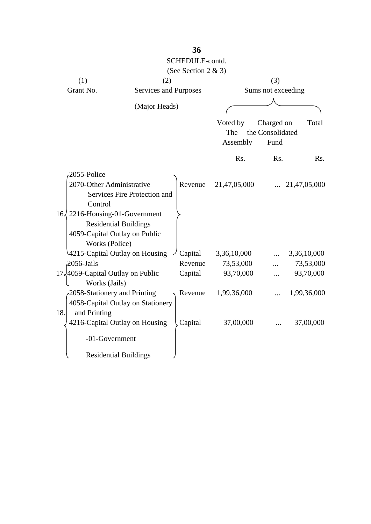|     |                                        |                                   | SCHEDULE-contd.     |              |                    |              |
|-----|----------------------------------------|-----------------------------------|---------------------|--------------|--------------------|--------------|
|     |                                        |                                   | (See Section 2 & 3) |              |                    |              |
|     | (1)                                    | (2)                               |                     |              | (3)                |              |
|     | Grant No.                              | Services and Purposes             |                     |              | Sums not exceeding |              |
|     |                                        |                                   |                     |              |                    |              |
|     |                                        | (Major Heads)                     |                     |              |                    |              |
|     |                                        |                                   |                     | Voted by     | Charged on         | Total        |
|     |                                        |                                   |                     | The          | the Consolidated   |              |
|     |                                        |                                   |                     | Assembly     | Fund               |              |
|     |                                        |                                   |                     | Rs.          | Rs.                | Rs.          |
|     | 2055-Police                            |                                   |                     |              |                    |              |
|     | 2070-Other Administrative              |                                   | Revenue             | 21,47,05,000 |                    | 21,47,05,000 |
|     |                                        | Services Fire Protection and      |                     |              |                    |              |
|     | Control                                |                                   |                     |              |                    |              |
|     | $16\sqrt{2216}$ -Housing-01-Government |                                   |                     |              |                    |              |
|     |                                        | <b>Residential Buildings</b>      |                     |              |                    |              |
|     | 4059-Capital Outlay on Public          |                                   |                     |              |                    |              |
|     | Works (Police)                         |                                   |                     |              |                    |              |
|     |                                        | 4215-Capital Outlay on Housing    | Capital             | 3,36,10,000  |                    | 3,36,10,000  |
|     | $2056$ -Jails                          |                                   | Revenue             | 73,53,000    |                    | 73,53,000    |
|     | 17,4059-Capital Outlay on Public       |                                   | Capital             | 93,70,000    |                    | 93,70,000    |
|     | Works (Jails)                          |                                   |                     |              |                    |              |
|     | 2058-Stationery and Printing           |                                   | Revenue             | 1,99,36,000  | .                  | 1,99,36,000  |
|     |                                        | 4058-Capital Outlay on Stationery |                     |              |                    |              |
| 18. | and Printing                           |                                   |                     |              |                    |              |
|     |                                        | 4216-Capital Outlay on Housing    | Capital             | 37,00,000    |                    | 37,00,000    |
|     | -01-Government                         |                                   |                     |              |                    |              |
|     |                                        | <b>Residential Buildings</b>      |                     |              |                    |              |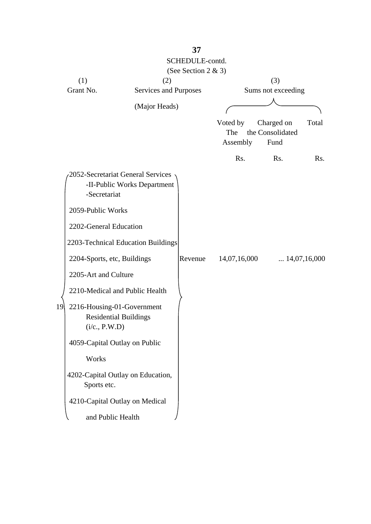|    |                                                                             |                             | SCHEDULE-contd.<br>(See Section 2 & 3) |                             |                                        |                       |
|----|-----------------------------------------------------------------------------|-----------------------------|----------------------------------------|-----------------------------|----------------------------------------|-----------------------|
|    | (1)                                                                         | (2)                         |                                        |                             | (3)                                    |                       |
|    | Grant No.                                                                   | Services and Purposes       |                                        |                             | Sums not exceeding                     |                       |
|    |                                                                             | (Major Heads)               |                                        |                             |                                        |                       |
|    |                                                                             |                             |                                        | Voted by<br>The<br>Assembly | Charged on<br>the Consolidated<br>Fund | Total                 |
|    |                                                                             |                             |                                        | Rs.                         | Rs.                                    | Rs.                   |
|    | 2052-Secretariat General Services<br>-Secretariat                           | -II-Public Works Department |                                        |                             |                                        |                       |
|    | 2059-Public Works                                                           |                             |                                        |                             |                                        |                       |
|    | 2202-General Education                                                      |                             |                                        |                             |                                        |                       |
|    | 2203-Technical Education Buildings                                          |                             |                                        |                             |                                        |                       |
|    | 2204-Sports, etc, Buildings                                                 |                             | Revenue                                | 14,07,16,000                |                                        | $\ldots$ 14,07,16,000 |
|    | 2205-Art and Culture                                                        |                             |                                        |                             |                                        |                       |
|    | 2210-Medical and Public Health                                              |                             |                                        |                             |                                        |                       |
| 19 | 2216-Housing-01-Government<br><b>Residential Buildings</b><br>(i/c., P.W.D) |                             |                                        |                             |                                        |                       |
|    | 4059-Capital Outlay on Public                                               |                             |                                        |                             |                                        |                       |
|    | Works                                                                       |                             |                                        |                             |                                        |                       |
|    | 4202-Capital Outlay on Education,<br>Sports etc.                            |                             |                                        |                             |                                        |                       |
|    | 4210-Capital Outlay on Medical                                              |                             |                                        |                             |                                        |                       |
|    | and Public Health                                                           |                             |                                        |                             |                                        |                       |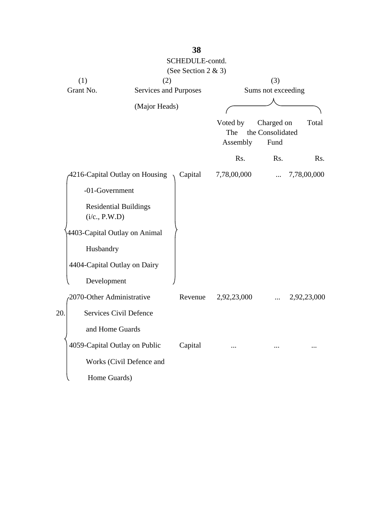|                                               |                          | SCHEDULE-contd.       |                             |                                        |             |
|-----------------------------------------------|--------------------------|-----------------------|-----------------------------|----------------------------------------|-------------|
|                                               |                          | (See Section 2 $& 3)$ |                             |                                        |             |
| (1)                                           | (2)                      |                       |                             | (3)                                    |             |
| Grant No.                                     | Services and Purposes    |                       |                             | Sums not exceeding                     |             |
|                                               | (Major Heads)            |                       |                             |                                        |             |
|                                               |                          |                       | Voted by<br>The<br>Assembly | Charged on<br>the Consolidated<br>Fund | Total       |
|                                               |                          |                       | Rs.                         | Rs.                                    | Rs.         |
| 4216-Capital Outlay on Housing                |                          | Capital               | 7,78,00,000                 |                                        | 7,78,00,000 |
| -01-Government                                |                          |                       |                             |                                        |             |
| <b>Residential Buildings</b><br>(i/c., P.W.D) |                          |                       |                             |                                        |             |
| 4403-Capital Outlay on Animal                 |                          |                       |                             |                                        |             |
| Husbandry                                     |                          |                       |                             |                                        |             |
| 4404-Capital Outlay on Dairy                  |                          |                       |                             |                                        |             |
| Development                                   |                          |                       |                             |                                        |             |
| 2070-Other Administrative                     |                          | Revenue               | 2,92,23,000                 |                                        | 2,92,23,000 |
| 20.<br>Services Civil Defence                 |                          |                       |                             |                                        |             |
| and Home Guards                               |                          |                       |                             |                                        |             |
| 4059-Capital Outlay on Public                 |                          | Capital               |                             |                                        |             |
|                                               | Works (Civil Defence and |                       |                             |                                        |             |
| Home Guards)                                  |                          |                       |                             |                                        |             |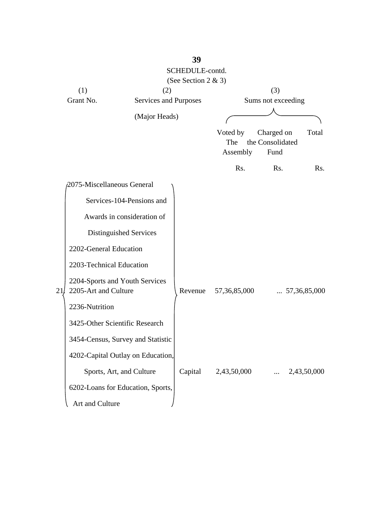|     |                            |                                   | 39                  |                 |                                |                       |
|-----|----------------------------|-----------------------------------|---------------------|-----------------|--------------------------------|-----------------------|
|     |                            |                                   | SCHEDULE-contd.     |                 |                                |                       |
|     |                            |                                   | (See Section 2 & 3) |                 |                                |                       |
|     | (1)                        | (2)                               |                     |                 | (3)                            |                       |
|     | Grant No.                  | Services and Purposes             |                     |                 | Sums not exceeding             |                       |
|     |                            | (Major Heads)                     |                     |                 |                                |                       |
|     |                            |                                   |                     |                 |                                |                       |
|     |                            |                                   |                     | Voted by        | Charged on<br>the Consolidated | Total                 |
|     |                            |                                   |                     | The<br>Assembly | Fund                           |                       |
|     |                            |                                   |                     |                 |                                |                       |
|     |                            |                                   |                     | Rs.             | Rs.                            | Rs.                   |
|     | 2075-Miscellaneous General |                                   |                     |                 |                                |                       |
|     |                            | Services-104-Pensions and         |                     |                 |                                |                       |
|     |                            | Awards in consideration of        |                     |                 |                                |                       |
|     |                            | Distinguished Services            |                     |                 |                                |                       |
|     | 2202-General Education     |                                   |                     |                 |                                |                       |
|     | 2203-Technical Education   |                                   |                     |                 |                                |                       |
| 21/ | 2205-Art and Culture       | 2204-Sports and Youth Services    | Revenue             | 57,36,85,000    |                                | $\ldots 57,36,85,000$ |
|     | 2236-Nutrition             |                                   |                     |                 |                                |                       |
|     |                            | 3425-Other Scientific Research    |                     |                 |                                |                       |
|     |                            | 3454-Census, Survey and Statistic |                     |                 |                                |                       |
|     |                            | 4202-Capital Outlay on Education, |                     |                 |                                |                       |
|     |                            | Sports, Art, and Culture          | Capital             | 2,43,50,000     |                                | 2,43,50,000           |
|     |                            | 6202-Loans for Education, Sports, |                     |                 |                                |                       |
|     | Art and Culture            |                                   |                     |                 |                                |                       |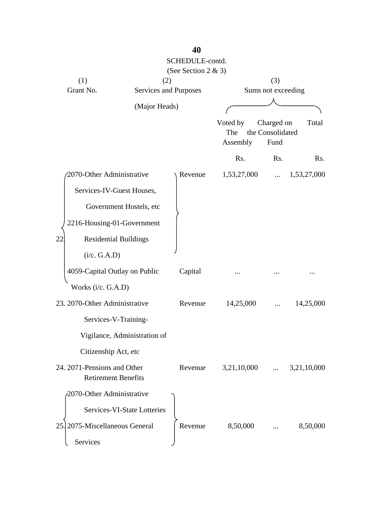|                                                           |                              | SCHEDULE-contd.<br>(See Section 2 & 3) |                             |                                        |             |
|-----------------------------------------------------------|------------------------------|----------------------------------------|-----------------------------|----------------------------------------|-------------|
| (1)                                                       | (2)                          |                                        |                             | (3)                                    |             |
| Grant No.                                                 | Services and Purposes        |                                        |                             | Sums not exceeding                     |             |
|                                                           | (Major Heads)                |                                        |                             |                                        |             |
|                                                           |                              |                                        | Voted by<br>The<br>Assembly | Charged on<br>the Consolidated<br>Fund | Total       |
|                                                           |                              |                                        | Rs.                         | Rs.                                    | Rs.         |
| 2070-Other Administrative                                 |                              | Revenue                                | 1,53,27,000                 |                                        | 1,53,27,000 |
| Services-IV-Guest Houses,                                 |                              |                                        |                             |                                        |             |
|                                                           | Government Hostels, etc      |                                        |                             |                                        |             |
| 2216-Housing-01-Government                                |                              |                                        |                             |                                        |             |
| 22<br><b>Residential Buildings</b>                        |                              |                                        |                             |                                        |             |
| (i/c. G.A.D)                                              |                              |                                        |                             |                                        |             |
| 4059-Capital Outlay on Public                             |                              | Capital                                |                             |                                        |             |
| Works (i/c. G.A.D)                                        |                              |                                        |                             |                                        |             |
| 23. 2070-Other Administrative                             |                              | Revenue                                | 14,25,000                   |                                        | 14,25,000   |
| Services-V-Training-                                      |                              |                                        |                             |                                        |             |
|                                                           | Vigilance, Administration of |                                        |                             |                                        |             |
| Citizenship Act, etc                                      |                              |                                        |                             |                                        |             |
| 24. 2071-Pensions and Other<br><b>Retirement Benefits</b> |                              | Revenue                                | 3,21,10,000                 |                                        | 3,21,10,000 |
| 2070-Other Administrative                                 |                              |                                        |                             |                                        |             |
|                                                           | Services-VI-State Lotteries  |                                        |                             |                                        |             |
| 2075-Miscellaneous General<br>25.                         |                              | Revenue                                | 8,50,000                    |                                        | 8,50,000    |
| Services                                                  |                              |                                        |                             |                                        |             |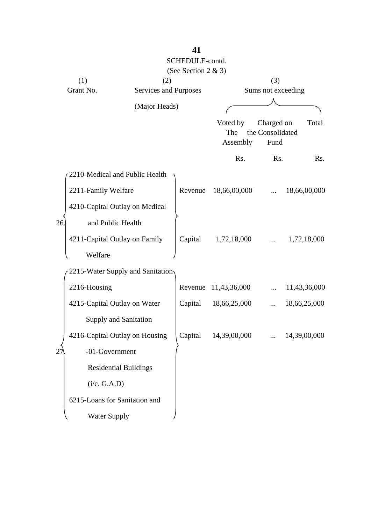|                  |                                  |                              | SCHEDULE-contd.     |              |                           |              |
|------------------|----------------------------------|------------------------------|---------------------|--------------|---------------------------|--------------|
|                  |                                  |                              | (See Section 2 & 3) |              |                           |              |
| (1)<br>Grant No. |                                  | (2)<br>Services and Purposes |                     |              | (3)<br>Sums not exceeding |              |
|                  |                                  |                              |                     |              |                           |              |
|                  |                                  | (Major Heads)                |                     |              |                           |              |
|                  |                                  |                              |                     | Voted by     | Charged on                | Total        |
|                  |                                  |                              |                     | The          | the Consolidated          |              |
|                  |                                  |                              |                     | Assembly     | Fund                      |              |
|                  |                                  |                              |                     | Rs.          | Rs.                       | Rs.          |
|                  | 2210-Medical and Public Health   |                              |                     |              |                           |              |
|                  | 2211-Family Welfare              |                              | Revenue             | 18,66,00,000 |                           | 18,66,00,000 |
|                  | 4210-Capital Outlay on Medical   |                              |                     |              |                           |              |
| 26               | and Public Health                |                              |                     |              |                           |              |
|                  | 4211-Capital Outlay on Family    |                              | Capital             | 1,72,18,000  |                           | 1,72,18,000  |
|                  | Welfare                          |                              |                     |              |                           |              |
|                  | 2215-Water Supply and Sanitation |                              |                     |              |                           |              |
|                  | 2216-Housing                     |                              | Revenue             | 11,43,36,000 |                           | 11,43,36,000 |
|                  | 4215-Capital Outlay on Water     |                              | Capital             | 18,66,25,000 | $\cdots$                  | 18,66,25,000 |
|                  | Supply and Sanitation            |                              |                     |              |                           |              |
|                  | 4216-Capital Outlay on Housing   |                              | Capital             | 14,39,00,000 |                           | 14,39,00,000 |
| 27               | -01-Government                   |                              |                     |              |                           |              |
|                  | <b>Residential Buildings</b>     |                              |                     |              |                           |              |
|                  | (i/c. G.A.D)                     |                              |                     |              |                           |              |
|                  | 6215-Loans for Sanitation and    |                              |                     |              |                           |              |
|                  | Water Supply                     |                              |                     |              |                           |              |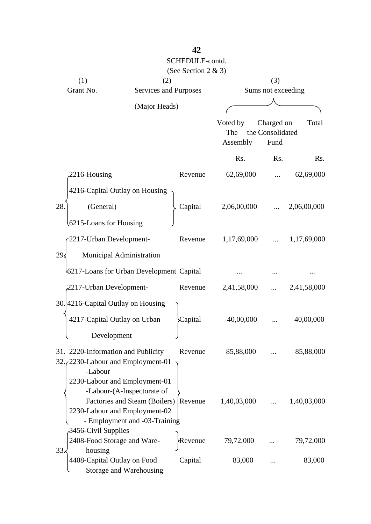|                                                                |                                                                                                      | SCHEDULE-contd.     |                             |                                        |             |
|----------------------------------------------------------------|------------------------------------------------------------------------------------------------------|---------------------|-----------------------------|----------------------------------------|-------------|
|                                                                |                                                                                                      | (See Section 2 & 3) |                             |                                        |             |
| (1)<br>Grant No.                                               | (2)<br>Services and Purposes                                                                         |                     |                             | (3)<br>Sums not exceeding              |             |
|                                                                |                                                                                                      |                     |                             |                                        |             |
|                                                                | (Major Heads)                                                                                        |                     |                             |                                        |             |
|                                                                |                                                                                                      |                     | Voted by<br>The<br>Assembly | Charged on<br>the Consolidated<br>Fund | Total       |
|                                                                |                                                                                                      |                     | Rs.                         | Rs.                                    | Rs.         |
| 2216-Housing                                                   |                                                                                                      | Revenue             | 62,69,000                   |                                        | 62,69,000   |
| 4216-Capital Outlay on Housing                                 |                                                                                                      |                     |                             |                                        |             |
| 28.<br>(General)                                               |                                                                                                      | Capital             | 2,06,00,000                 |                                        | 2,06,00,000 |
| 6215-Loans for Housing                                         |                                                                                                      |                     |                             |                                        |             |
| 2217-Urban Development-                                        |                                                                                                      | Revenue             | 1,17,69,000                 |                                        | 1,17,69,000 |
| 29.5                                                           | Municipal Administration                                                                             |                     |                             |                                        |             |
| 6217-Loans for Urban Development Capital                       |                                                                                                      |                     |                             |                                        |             |
| 2217-Urban Development-                                        |                                                                                                      | Revenue             | 2,41,58,000                 |                                        | 2,41,58,000 |
| 30. 4216-Capital Outlay on Housing                             |                                                                                                      |                     |                             |                                        |             |
| 4217-Capital Outlay on Urban                                   |                                                                                                      | Capital             | 40,00,000                   |                                        | 40,00,000   |
| Development                                                    |                                                                                                      |                     |                             |                                        |             |
| 31. 2220-Information and Publicity                             |                                                                                                      | Revenue             | 85,88,000                   |                                        | 85,88,000   |
| 32. (2230-Labour and Employment-01<br>-Labour                  |                                                                                                      |                     |                             |                                        |             |
| 2230-Labour and Employment-01<br>2230-Labour and Employment-02 | -Labour-(A-Inspectorate of<br>Factories and Steam (Boilers) Revenue<br>- Employment and -03-Training |                     | 1,40,03,000                 |                                        | 1,40,03,000 |
| 3456-Civil Supplies<br>2408-Food Storage and Ware-             |                                                                                                      | Revenue             | 79,72,000                   |                                        | 79,72,000   |
| 33.4<br>housing<br>4408-Capital Outlay on Food                 | Storage and Warehousing                                                                              | Capital             | 83,000                      |                                        | 83,000      |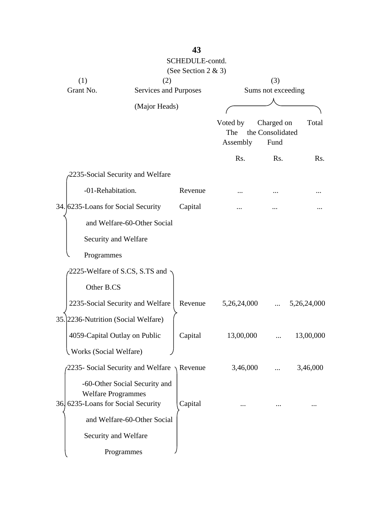|                                     |                                                       | SCHEDULE-contd.     |                             |                                        |             |
|-------------------------------------|-------------------------------------------------------|---------------------|-----------------------------|----------------------------------------|-------------|
|                                     |                                                       | (See Section 2 & 3) |                             |                                        |             |
| (1)                                 | (2)                                                   |                     |                             | (3)                                    |             |
| Grant No.                           | Services and Purposes                                 |                     |                             | Sums not exceeding                     |             |
|                                     | (Major Heads)                                         |                     |                             |                                        |             |
|                                     |                                                       |                     | Voted by<br>The<br>Assembly | Charged on<br>the Consolidated<br>Fund | Total       |
|                                     |                                                       |                     | Rs.                         | R <sub>s</sub> .                       | Rs.         |
|                                     | 2235-Social Security and Welfare                      |                     |                             |                                        |             |
| -01-Rehabitation.                   |                                                       | Revenue             |                             |                                        |             |
| 34. 6235-Loans for Social Security  |                                                       | Capital             |                             |                                        |             |
|                                     | and Welfare-60-Other Social                           |                     |                             |                                        |             |
| Security and Welfare                |                                                       |                     |                             |                                        |             |
| Programmes                          |                                                       |                     |                             |                                        |             |
|                                     | 2225-Welfare of S.CS, S.TS and                        |                     |                             |                                        |             |
| Other B.CS                          |                                                       |                     |                             |                                        |             |
|                                     | 2235-Social Security and Welfare                      | Revenue             | 5,26,24,000                 |                                        | 5,26,24,000 |
| 35. 2236-Nutrition (Social Welfare) |                                                       |                     |                             |                                        |             |
| 4059-Capital Outlay on Public       |                                                       | Capital             | 13,00,000                   |                                        | 13,00,000   |
| <b>Works (Social Welfare)</b>       |                                                       |                     |                             |                                        |             |
|                                     | 2235- Social Security and Welfare $\setminus$ Revenue |                     | 3,46,000                    |                                        | 3,46,000    |
| <b>Welfare Programmes</b>           | -60-Other Social Security and                         |                     |                             |                                        |             |
| 36 6235-Loans for Social Security   |                                                       | Capital             |                             |                                        |             |
|                                     | and Welfare-60-Other Social                           |                     |                             |                                        |             |
| Security and Welfare                |                                                       |                     |                             |                                        |             |
|                                     | Programmes                                            |                     |                             |                                        |             |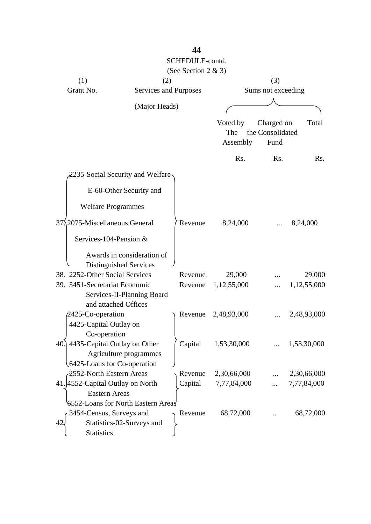|                                    |                            | SCHEDULE-contd.       |             |                    |             |
|------------------------------------|----------------------------|-----------------------|-------------|--------------------|-------------|
|                                    |                            | (See Section 2 & 3)   |             |                    |             |
| (1)                                | (2)                        |                       |             | (3)                |             |
| Grant No.                          |                            | Services and Purposes |             | Sums not exceeding |             |
|                                    |                            |                       |             |                    |             |
|                                    | (Major Heads)              |                       |             |                    |             |
|                                    |                            |                       | Voted by    | Charged on         | Total       |
|                                    |                            |                       | The         | the Consolidated   |             |
|                                    |                            |                       | Assembly    | Fund               |             |
|                                    |                            |                       | Rs.         | Rs.                | Rs.         |
| -2235-Social Security and Welfare  |                            |                       |             |                    |             |
|                                    | E-60-Other Security and    |                       |             |                    |             |
| <b>Welfare Programmes</b>          |                            |                       |             |                    |             |
| 37.2075-Miscellaneous General      |                            | Revenue               | 8,24,000    |                    | 8,24,000    |
| Services-104-Pension &             |                            |                       |             |                    |             |
|                                    | Awards in consideration of |                       |             |                    |             |
| Distinguished Services             |                            |                       |             |                    |             |
| 38. 2252-Other Social Services     |                            | Revenue               | 29,000      |                    | 29,000      |
| 39. 3451-Secretariat Economic      |                            | Revenue               | 1,12,55,000 |                    | 1,12,55,000 |
|                                    | Services-II-Planning Board |                       |             |                    |             |
| and attached Offices               |                            |                       |             |                    |             |
| 2425-Co-operation                  |                            | Revenue               | 2,48,93,000 |                    | 2,48,93,000 |
| 4425-Capital Outlay on             |                            |                       |             |                    |             |
| Co-operation                       |                            |                       |             |                    |             |
| 40.] 4435-Capital Outlay on Other  |                            | Capital               | 1,53,30,000 |                    | 1,53,30,000 |
|                                    | Agriculture programmes     |                       |             |                    |             |
| 6425-Loans for Co-operation        |                            |                       |             |                    |             |
| -2552-North Eastern Areas          |                            | Revenue               | 2,30,66,000 |                    | 2,30,66,000 |
| 41. 4552-Capital Outlay on North   |                            | Capital               | 7,77,84,000 |                    | 7,77,84,000 |
| <b>Eastern Areas</b>               |                            |                       |             |                    |             |
| 6552-Loans for North Eastern Areas |                            |                       |             |                    |             |
| 3454-Census, Surveys and           |                            | Revenue               | 68,72,000   |                    | 68,72,000   |
| 42                                 | Statistics-02-Surveys and  |                       |             |                    |             |
| <b>Statistics</b>                  |                            |                       |             |                    |             |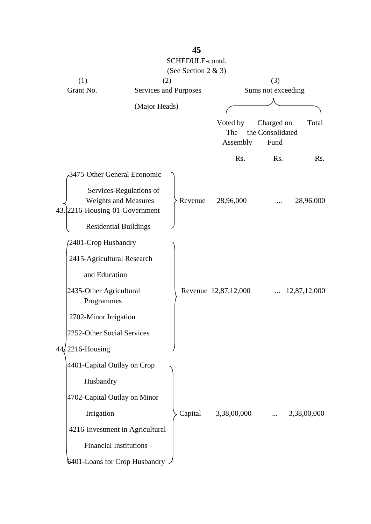|                  |                                                                                   | SCHEDULE-contd.<br>(See Section 2 & 3) |                             |                                        |                  |
|------------------|-----------------------------------------------------------------------------------|----------------------------------------|-----------------------------|----------------------------------------|------------------|
| (1)              |                                                                                   | (2)                                    |                             | (3)                                    |                  |
| Grant No.        |                                                                                   | Services and Purposes                  |                             | Sums not exceeding                     |                  |
|                  | (Major Heads)                                                                     |                                        |                             |                                        |                  |
|                  |                                                                                   |                                        | Voted by<br>The<br>Assembly | Charged on<br>the Consolidated<br>Fund | Total            |
|                  |                                                                                   |                                        | Rs.                         | Rs.                                    | R <sub>s</sub> . |
|                  | 3475-Other General Economic                                                       |                                        |                             |                                        |                  |
|                  | Services-Regulations of<br>Weights and Measures<br>43. 2216-Housing-01-Government | Revenue                                | 28,96,000                   |                                        | 28,96,000        |
|                  | <b>Residential Buildings</b>                                                      |                                        |                             |                                        |                  |
|                  | 2401-Crop Husbandry                                                               |                                        |                             |                                        |                  |
|                  | 2415-Agricultural Research                                                        |                                        |                             |                                        |                  |
|                  | and Education                                                                     |                                        |                             |                                        |                  |
|                  | 2435-Other Agricultural<br>Programmes                                             |                                        | Revenue 12,87,12,000        |                                        | 12,87,12,000     |
|                  | 2702-Minor Irrigation                                                             |                                        |                             |                                        |                  |
|                  | 2252-Other Social Services                                                        |                                        |                             |                                        |                  |
| 44, 2216-Housing |                                                                                   |                                        |                             |                                        |                  |
|                  | 4401-Capital Outlay on Crop                                                       |                                        |                             |                                        |                  |
|                  | Husbandry                                                                         |                                        |                             |                                        |                  |
|                  | 4702-Capital Outlay on Minor                                                      |                                        |                             |                                        |                  |
|                  | Irrigation                                                                        | Capital                                | 3,38,00,000                 |                                        | 3,38,00,000      |
|                  | 4216-Investment in Agricultural                                                   |                                        |                             |                                        |                  |
|                  | <b>Financial Institutions</b>                                                     |                                        |                             |                                        |                  |
|                  | 6401-Loans for Crop Husbandry                                                     |                                        |                             |                                        |                  |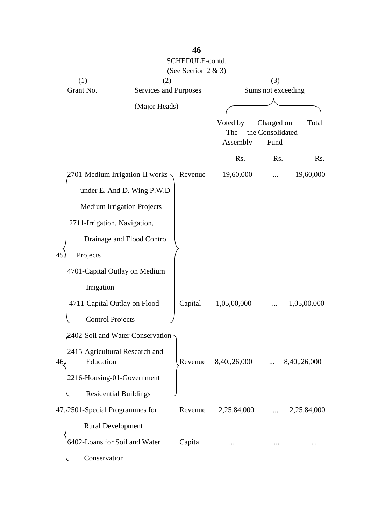|                                                    |                                   | SCHEDULE-contd.<br>(See Section 2 & 3) |                             |                                        |              |
|----------------------------------------------------|-----------------------------------|----------------------------------------|-----------------------------|----------------------------------------|--------------|
| (1)                                                | (2)                               |                                        |                             | (3)                                    |              |
| Grant No.                                          | Services and Purposes             |                                        |                             | Sums not exceeding                     |              |
|                                                    | (Major Heads)                     |                                        |                             |                                        |              |
|                                                    |                                   |                                        |                             |                                        |              |
|                                                    |                                   |                                        | Voted by<br>The<br>Assembly | Charged on<br>the Consolidated<br>Fund | Total        |
|                                                    |                                   |                                        | Rs.                         | Rs.                                    | Rs.          |
|                                                    | 2701-Medium Irrigation-II works - | Revenue                                | 19,60,000                   | .                                      | 19,60,000    |
|                                                    | under E. And D. Wing P.W.D        |                                        |                             |                                        |              |
|                                                    | <b>Medium Irrigation Projects</b> |                                        |                             |                                        |              |
| 2711-Irrigation, Navigation,                       |                                   |                                        |                             |                                        |              |
|                                                    | Drainage and Flood Control        |                                        |                             |                                        |              |
| 45<br>Projects                                     |                                   |                                        |                             |                                        |              |
|                                                    | 4701-Capital Outlay on Medium     |                                        |                             |                                        |              |
| Irrigation                                         |                                   |                                        |                             |                                        |              |
| 4711-Capital Outlay on Flood                       |                                   | Capital                                | 1,05,00,000                 |                                        | 1,05,00,000  |
| <b>Control Projects</b>                            |                                   |                                        |                             |                                        |              |
|                                                    | 2402-Soil and Water Conservation  |                                        |                             |                                        |              |
| 2415-Agricultural Research and<br>Education<br>46, |                                   | Revenue                                | 8,40,,26,000                |                                        | 8,40,,26,000 |
| 2216-Housing-01-Government                         |                                   |                                        |                             |                                        |              |
|                                                    | <b>Residential Buildings</b>      |                                        |                             |                                        |              |
| 47. 2501-Special Programmes for                    |                                   | Revenue                                | 2,25,84,000                 | $\cdots$                               | 2,25,84,000  |
| <b>Rural Development</b>                           |                                   |                                        |                             |                                        |              |
| 6402-Loans for Soil and Water                      |                                   | Capital                                |                             |                                        |              |
| Conservation                                       |                                   |                                        |                             |                                        |              |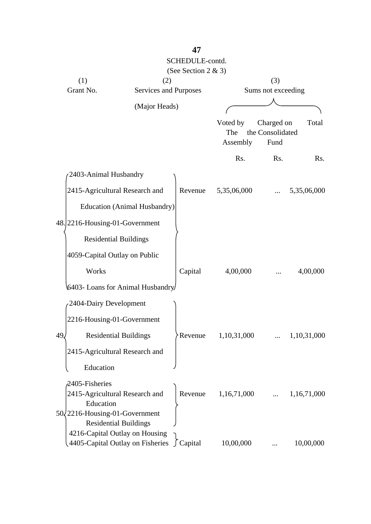|                                                                    |                                     | SCHEDULE-contd.     |                 |                          |             |
|--------------------------------------------------------------------|-------------------------------------|---------------------|-----------------|--------------------------|-------------|
|                                                                    |                                     | (See Section 2 & 3) |                 |                          |             |
| (1)                                                                | (2)                                 |                     |                 | (3)                      |             |
| Grant No.                                                          | Services and Purposes               |                     |                 | Sums not exceeding       |             |
|                                                                    |                                     |                     |                 |                          |             |
|                                                                    | (Major Heads)                       |                     |                 |                          |             |
|                                                                    |                                     |                     | Voted by        | Charged on               | Total       |
|                                                                    |                                     |                     | The<br>Assembly | the Consolidated<br>Fund |             |
|                                                                    |                                     |                     |                 |                          |             |
|                                                                    |                                     |                     | Rs.             | Rs.                      | Rs.         |
| 2403-Animal Husbandry                                              |                                     |                     |                 |                          |             |
| 2415-Agricultural Research and                                     |                                     | Revenue             | 5,35,06,000     |                          | 5,35,06,000 |
|                                                                    | <b>Education (Animal Husbandry)</b> |                     |                 |                          |             |
| 48. 2216-Housing-01-Government                                     |                                     |                     |                 |                          |             |
| <b>Residential Buildings</b>                                       |                                     |                     |                 |                          |             |
| 4059-Capital Outlay on Public                                      |                                     |                     |                 |                          |             |
| Works                                                              |                                     | Capital             | 4,00,000        |                          | 4,00,000    |
| 6403- Loans for Animal Husbandry                                   |                                     |                     |                 |                          |             |
|                                                                    |                                     |                     |                 |                          |             |
| 2404-Dairy Development                                             |                                     |                     |                 |                          |             |
| 2216-Housing-01-Government                                         |                                     |                     |                 |                          |             |
| 49.<br><b>Residential Buildings</b>                                |                                     | Revenue             | 1,10,31,000     |                          | 1,10,31,000 |
| 2415-Agricultural Research and                                     |                                     |                     |                 |                          |             |
| Education                                                          |                                     |                     |                 |                          |             |
| 2405-Fisheries                                                     |                                     |                     |                 |                          |             |
| 2415-Agricultural Research and                                     |                                     | Revenue             | 1,16,71,000     |                          | 1,16,71,000 |
| Education                                                          |                                     |                     |                 |                          |             |
| 50/2216-Housing-01-Government                                      |                                     |                     |                 |                          |             |
| <b>Residential Buildings</b>                                       |                                     |                     |                 |                          |             |
| 4216-Capital Outlay on Housing<br>4405-Capital Outlay on Fisheries |                                     | $\int$ Capital      | 10,00,000       |                          | 10,00,000   |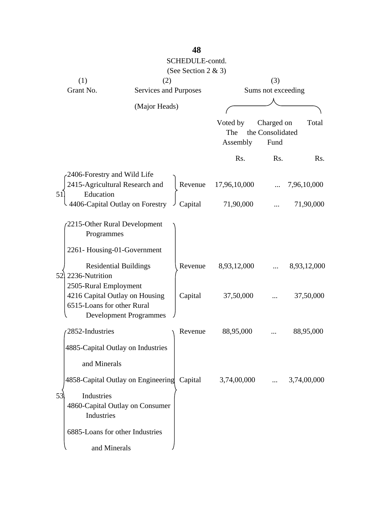|                                                |                                                                 | SCHEDULE-contd.<br>(See Section 2 & 3) |                             |                                        |             |
|------------------------------------------------|-----------------------------------------------------------------|----------------------------------------|-----------------------------|----------------------------------------|-------------|
| (1)                                            | (2)                                                             |                                        |                             | (3)                                    |             |
| Grant No.                                      | Services and Purposes                                           |                                        |                             | Sums not exceeding                     |             |
|                                                | (Major Heads)                                                   |                                        |                             |                                        |             |
|                                                |                                                                 |                                        | Voted by<br>The<br>Assembly | Charged on<br>the Consolidated<br>Fund | Total       |
|                                                |                                                                 |                                        | Rs.                         | Rs.                                    | Rs.         |
| Education<br>51                                | 2406-Forestry and Wild Life<br>2415-Agricultural Research and   | Revenue                                | 17,96,10,000                |                                        | 7,96,10,000 |
|                                                | 4406-Capital Outlay on Forestry                                 | Capital                                | 71,90,000                   |                                        | 71,90,000   |
| Programmes                                     | 2215-Other Rural Development<br>2261-Housing-01-Government      |                                        |                             |                                        |             |
| 52)<br>2236-Nutrition<br>2505-Rural Employment | <b>Residential Buildings</b>                                    | Revenue                                | 8,93,12,000                 |                                        | 8,93,12,000 |
| 6515-Loans for other Rural                     | 4216 Capital Outlay on Housing<br><b>Development Programmes</b> | Capital                                | 37,50,000                   |                                        | 37,50,000   |
| 2852-Industries                                |                                                                 | Revenue                                | 88,95,000                   |                                        | 88,95,000   |
| and Minerals                                   | 4885-Capital Outlay on Industries                               |                                        |                             |                                        |             |
|                                                | 4858-Capital Outlay on Engineering                              | Capital                                | 3,74,00,000                 |                                        | 3,74,00,000 |
| Industries<br>53<br>Industries                 | 4860-Capital Outlay on Consumer                                 |                                        |                             |                                        |             |
|                                                | 6885-Loans for other Industries                                 |                                        |                             |                                        |             |
|                                                | and Minerals                                                    |                                        |                             |                                        |             |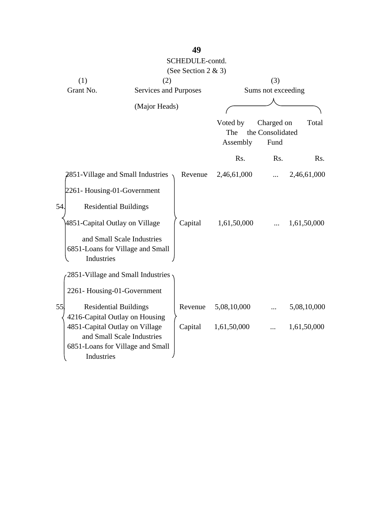|                                     |                                                                | SCHEDULE-contd.     |                  |                    |             |
|-------------------------------------|----------------------------------------------------------------|---------------------|------------------|--------------------|-------------|
|                                     |                                                                | (See Section 2 & 3) |                  |                    |             |
| (1)                                 | (2)                                                            |                     |                  | (3)                |             |
| Grant No.                           | Services and Purposes                                          |                     |                  | Sums not exceeding |             |
|                                     |                                                                |                     |                  |                    |             |
|                                     | (Major Heads)                                                  |                     |                  |                    |             |
|                                     |                                                                |                     | Voted by         | Charged on         | Total       |
|                                     |                                                                |                     | The              | the Consolidated   |             |
|                                     |                                                                |                     | Assembly         | Fund               |             |
|                                     |                                                                |                     | R <sub>s</sub> . | R <sub>s</sub> .   | Rs.         |
|                                     | 2851-Village and Small Industries                              | Revenue             | 2,46,61,000      |                    | 2,46,61,000 |
| 2261-Housing-01-Government          |                                                                |                     |                  |                    |             |
| 54.<br><b>Residential Buildings</b> |                                                                |                     |                  |                    |             |
| 4851-Capital Outlay on Village      |                                                                | Capital             | 1,61,50,000      |                    | 1,61,50,000 |
| Industries                          | and Small Scale Industries<br>6851-Loans for Village and Small |                     |                  |                    |             |
|                                     | 2851-Village and Small Industries                              |                     |                  |                    |             |
| 2261-Housing-01-Government          |                                                                |                     |                  |                    |             |
| 55<br><b>Residential Buildings</b>  |                                                                | Revenue             | 5,08,10,000      |                    | 5,08,10,000 |
| 4216-Capital Outlay on Housing      |                                                                |                     |                  |                    |             |
| 4851-Capital Outlay on Village      |                                                                | Capital             | 1,61,50,000      |                    | 1,61,50,000 |
|                                     | and Small Scale Industries                                     |                     |                  |                    |             |
|                                     | 6851-Loans for Village and Small                               |                     |                  |                    |             |
| Industries                          |                                                                |                     |                  |                    |             |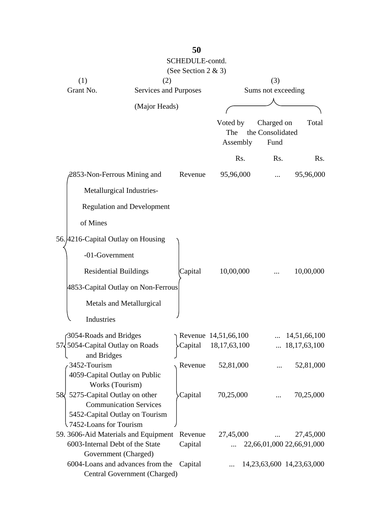|                                      |                                                                  | SCHEDULE-contd.<br>(See Section 2 & 3) |                               |                    |                                 |
|--------------------------------------|------------------------------------------------------------------|----------------------------------------|-------------------------------|--------------------|---------------------------------|
| (1)                                  | (2)                                                              |                                        |                               | (3)                |                                 |
| Grant No.                            | Services and Purposes                                            |                                        |                               | Sums not exceeding |                                 |
|                                      | (Major Heads)                                                    |                                        |                               |                    |                                 |
|                                      |                                                                  |                                        | Voted by                      | Charged on         | Total                           |
|                                      |                                                                  |                                        | The                           | the Consolidated   |                                 |
|                                      |                                                                  |                                        | Assembly                      | Fund               |                                 |
|                                      |                                                                  |                                        | Rs.                           | Rs.                | Rs.                             |
|                                      | 2853-Non-Ferrous Mining and                                      | Revenue                                | 95,96,000                     |                    | 95,96,000                       |
|                                      | Metallurgical Industries-                                        |                                        |                               |                    |                                 |
|                                      | <b>Regulation and Development</b>                                |                                        |                               |                    |                                 |
| of Mines                             |                                                                  |                                        |                               |                    |                                 |
| 56. 4216-Capital Outlay on Housing   |                                                                  |                                        |                               |                    |                                 |
| -01-Government                       |                                                                  |                                        |                               |                    |                                 |
|                                      | <b>Residential Buildings</b>                                     | Capital                                | 10,00,000                     |                    | 10,00,000                       |
|                                      | 4853-Capital Outlay on Non-Ferrous                               |                                        |                               |                    |                                 |
|                                      | Metals and Metallurgical                                         |                                        |                               |                    |                                 |
| Industries                           |                                                                  |                                        |                               |                    |                                 |
| 3054-Roads and Bridges               |                                                                  |                                        | $\Gamma$ Revenue 14,51,66,100 |                    | 14,51,66,100                    |
| 57 5054-Capital Outlay on Roads      |                                                                  | Capital                                | 18,17,63,100                  |                    | $\ldots$ 18,17,63,100           |
| and Bridges<br>3452-Tourism          |                                                                  | Revenue                                | 52,81,000                     |                    | 52,81,000                       |
| 4059-Capital Outlay on Public        |                                                                  |                                        |                               |                    |                                 |
| 58 5275-Capital Outlay on other      | Works (Tourism)                                                  | Capital                                | 70,25,000                     |                    | 70,25,000                       |
|                                      | <b>Communication Services</b>                                    |                                        |                               |                    |                                 |
|                                      | 5452-Capital Outlay on Tourism                                   |                                        |                               |                    |                                 |
| .7452-Loans for Tourism              |                                                                  |                                        |                               |                    |                                 |
| 59. 3606-Aid Materials and Equipment |                                                                  | Revenue                                | 27,45,000                     |                    | 27,45,000                       |
| 6003-Internal Debt of the State      | Government (Charged)                                             | Capital                                |                               |                    | 22,66,01,000 22,66,91,000       |
|                                      | 6004-Loans and advances from the<br>Central Government (Charged) | Capital                                | $\dddotsc$                    |                    | 14, 23, 63, 600 14, 23, 63, 000 |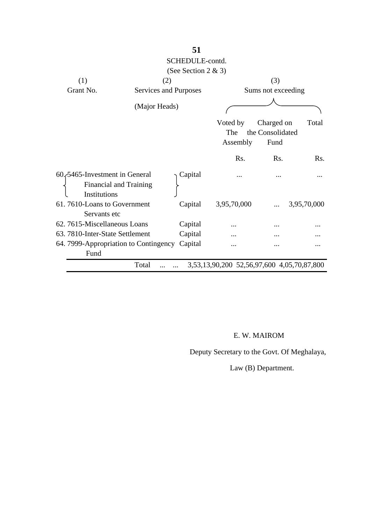|                                                       |                               | SCHEDULE-contd.        |                                            |                                        |                  |
|-------------------------------------------------------|-------------------------------|------------------------|--------------------------------------------|----------------------------------------|------------------|
|                                                       |                               | (See Section 2 $\&$ 3) |                                            |                                        |                  |
| (1)                                                   |                               | (2)                    |                                            | (3)                                    |                  |
| Grant No.                                             |                               | Services and Purposes  |                                            | Sums not exceeding                     |                  |
|                                                       | (Major Heads)                 |                        |                                            |                                        |                  |
|                                                       |                               |                        | Voted by<br>The<br>Assembly                | Charged on<br>the Consolidated<br>Fund | Total            |
|                                                       |                               |                        | R <sub>s</sub> .                           | R <sub>s</sub> .                       | R <sub>s</sub> . |
| 60. 5465-Investment in General<br>Institutions        | <b>Financial and Training</b> | Capital                |                                            |                                        |                  |
| 61.7610-Loans to Government<br>Servants etc           |                               | Capital                | 3,95,70,000                                |                                        | 3,95,70,000      |
| 62. 7615-Miscellaneous Loans                          |                               | Capital                |                                            |                                        |                  |
| 63. 7810-Inter-State Settlement                       |                               | Capital                |                                            |                                        |                  |
| 64. 7999-Appropriation to Contingency Capital<br>Fund |                               |                        |                                            |                                        |                  |
|                                                       | Total                         |                        | 3,53,13,90,200 52,56,97,600 4,05,70,87,800 |                                        |                  |

### E. W. MAIROM

Deputy Secretary to the Govt. Of Meghalaya,

Law (B) Department.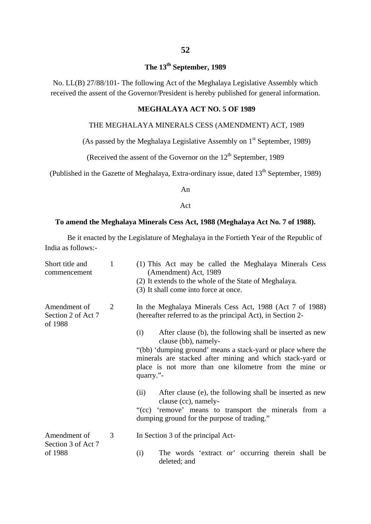# **The 13th September, 1989**

No. LL(B) 27/88/101- The following Act of the Meghalaya Legislative Assembly which received the assent of the Governor/President is hereby published for general information.

#### **MEGHALAYA ACT NO. 5 OF 1989**

#### THE MEGHALAYA MINERALS CESS (AMENDMENT) ACT, 1989

(As passed by the Meghalaya Legislative Assembly on  $1<sup>st</sup>$  September, 1989)

(Received the assent of the Governor on the  $12<sup>th</sup>$  September, 1989

(Published in the Gazette of Meghalaya, Extra-ordinary issue, dated  $13<sup>th</sup>$  September, 1989)

An

#### Act

#### **To amend the Meghalaya Minerals Cess Act, 1988 (Meghalaya Act No. 7 of 1988).**

Be it enacted by the Legislature of Meghalaya in the Fortieth Year of the Republic of India as follows:-

| Short title and<br>commencement               | $\mathbf{1}$ | (1) This Act may be called the Meghalaya Minerals Cess<br>(Amendment) Act, 1989<br>(2) It extends to the whole of the State of Meghalaya.<br>(3) It shall come into force at once.                                                                                                                                                                                                                                                                                                                                                                                         |
|-----------------------------------------------|--------------|----------------------------------------------------------------------------------------------------------------------------------------------------------------------------------------------------------------------------------------------------------------------------------------------------------------------------------------------------------------------------------------------------------------------------------------------------------------------------------------------------------------------------------------------------------------------------|
| Amendment of<br>Section 2 of Act 7<br>of 1988 | 2            | In the Meghalaya Minerals Cess Act, 1988 (Act 7 of 1988)<br>(hereafter referred to as the principal Act), in Section 2-<br>After clause (b), the following shall be inserted as new<br>(i)<br>clause (bb), namely-<br>"(bb) 'dumping ground' means a stack-yard or place where the<br>minerals are stacked after mining and which stack-yard or<br>place is not more than one kilometre from the mine or<br>quarry."-<br>After clause (e), the following shall be inserted as new<br>(ii)<br>clause (cc), namely-<br>"(cc) 'remove' means to transport the minerals from a |
|                                               |              | dumping ground for the purpose of trading."                                                                                                                                                                                                                                                                                                                                                                                                                                                                                                                                |
| Amendment of<br>Section 3 of Act 7            | 3            | In Section 3 of the principal Act-                                                                                                                                                                                                                                                                                                                                                                                                                                                                                                                                         |
| of 1988                                       |              | The words 'extract or' occurring therein shall be<br>(i)<br>deleted; and                                                                                                                                                                                                                                                                                                                                                                                                                                                                                                   |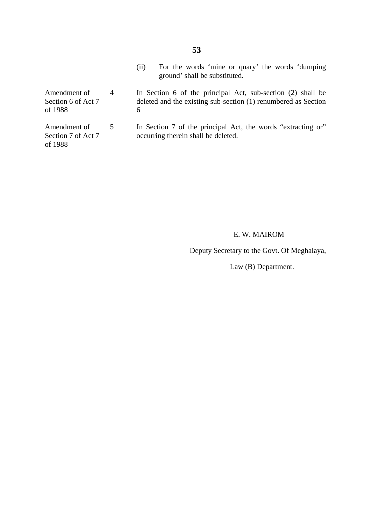- (ii) For the words 'mine or quary' the words 'dumping ground' shall be substituted.
- Amendment of Section 6 of Act 7 of 1988 4 In Section 6 of the principal Act, sub-section (2) shall be deleted and the existing sub-section (1) renumbered as Section 6
- Amendment of Section 7 of Act 7 of 1988 5 In Section 7 of the principal Act, the words "extracting or" occurring therein shall be deleted.

#### E. W. MAIROM

Deputy Secretary to the Govt. Of Meghalaya,

Law (B) Department.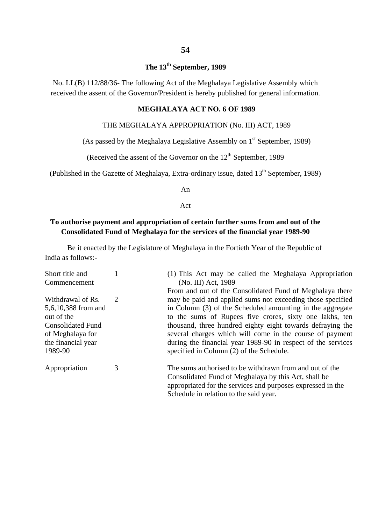# **The 13th September, 1989**

No. LL(B) 112/88/36- The following Act of the Meghalaya Legislative Assembly which received the assent of the Governor/President is hereby published for general information.

#### **MEGHALAYA ACT NO. 6 OF 1989**

#### THE MEGHALAYA APPROPRIATION (No. III) ACT, 1989

(As passed by the Meghalaya Legislative Assembly on  $1<sup>st</sup>$  September, 1989)

(Received the assent of the Governor on the  $12<sup>th</sup>$  September, 1989

(Published in the Gazette of Meghalaya, Extra-ordinary issue, dated  $13<sup>th</sup>$  September, 1989)

An

Act

#### **To authorise payment and appropriation of certain further sums from and out of the Consolidated Fund of Meghalaya for the services of the financial year 1989-90**

Be it enacted by the Legislature of Meghalaya in the Fortieth Year of the Republic of India as follows:-

| Short title and          |   | (1) This Act may be called the Meghalaya Appropriation       |
|--------------------------|---|--------------------------------------------------------------|
| Commencement             |   | (No. III) Act, 1989                                          |
|                          |   | From and out of the Consolidated Fund of Meghalaya there     |
| Withdrawal of Rs.        | 2 | may be paid and applied sums not exceeding those specified   |
| 5,6,10,388 from and      |   | in Column (3) of the Scheduled amounting in the aggregate    |
| out of the               |   | to the sums of Rupees five crores, sixty one lakhs, ten      |
| <b>Consolidated Fund</b> |   | thousand, three hundred eighty eight towards defraying the   |
| of Meghalaya for         |   | several charges which will come in the course of payment     |
| the financial year       |   | during the financial year 1989-90 in respect of the services |
| 1989-90                  |   | specified in Column (2) of the Schedule.                     |
| Appropriation            | 3 | The sums authorised to be withdrawn from and out of the      |
|                          |   | Consolidated Fund of Meghalaya by this Act, shall be         |
|                          |   | appropriated for the services and purposes expressed in the  |
|                          |   | Schedule in relation to the said year.                       |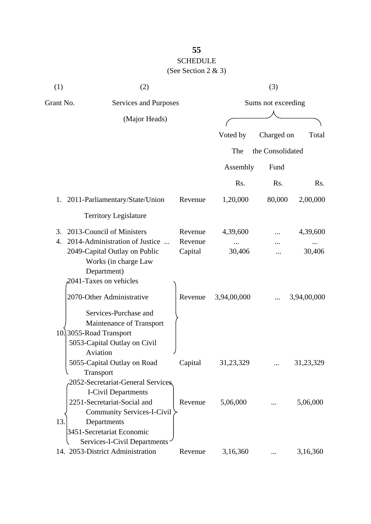| (1)       | (2)                                                                                                                                              |                    |             | (3)                |             |
|-----------|--------------------------------------------------------------------------------------------------------------------------------------------------|--------------------|-------------|--------------------|-------------|
| Grant No. | Services and Purposes                                                                                                                            |                    |             | Sums not exceeding |             |
|           | (Major Heads)                                                                                                                                    |                    |             |                    |             |
|           |                                                                                                                                                  |                    | Voted by    | Charged on         | Total       |
|           |                                                                                                                                                  |                    | The         | the Consolidated   |             |
|           |                                                                                                                                                  |                    | Assembly    | Fund               |             |
|           |                                                                                                                                                  |                    | Rs.         | Rs.                | Rs.         |
| 1.        | 2011-Parliamentary/State/Union                                                                                                                   | Revenue            | 1,20,000    | 80,000             | 2,00,000    |
|           | <b>Territory Legislature</b>                                                                                                                     |                    |             |                    |             |
| 3.        | 2013-Council of Ministers                                                                                                                        | Revenue            | 4,39,600    |                    | 4,39,600    |
| 4.        | 2014-Administration of Justice<br>2049-Capital Outlay on Public<br>Works (in charge Law                                                          | Revenue<br>Capital | 30,406      |                    | 30,406      |
|           | Department)<br>2041-Taxes on vehicles                                                                                                            |                    |             |                    |             |
|           | 2070-Other Administrative                                                                                                                        | Revenue            | 3,94,00,000 |                    | 3,94,00,000 |
|           | Services-Purchase and<br>Maintenance of Transport<br>10.3055-Road Transport<br>5053-Capital Outlay on Civil<br>Aviation                          |                    |             |                    |             |
|           | 5055-Capital Outlay on Road                                                                                                                      | Capital            | 31,23,329   |                    | 31,23,329   |
|           | Transport<br>2052-Secretariat-General Services<br><b>I-Civil Departments</b><br>2251-Secretariat-Social and<br><b>Community Services-I-Civil</b> | Revenue            | 5,06,000    |                    | 5,06,000    |
| 13.       | Departments<br>3451-Secretariat Economic<br>Services-I-Civil Departments<br>14. 2053-District Administration                                     | Revenue            | 3,16,360    | $\cdots$           | 3,16,360    |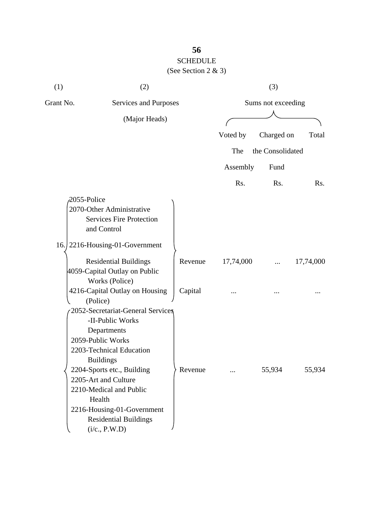# (See Section 2 & 3)

| (1)                                | (2)                               |         |                    | (3)              |           |
|------------------------------------|-----------------------------------|---------|--------------------|------------------|-----------|
| Grant No.<br>Services and Purposes |                                   |         | Sums not exceeding |                  |           |
|                                    | (Major Heads)                     |         |                    |                  |           |
|                                    |                                   |         | Voted by           | Charged on       | Total     |
|                                    |                                   |         | The                | the Consolidated |           |
|                                    |                                   |         | Assembly           | Fund             |           |
|                                    |                                   |         | Rs.                | Rs.              | Rs.       |
| 2055-Police                        |                                   |         |                    |                  |           |
|                                    | 2070-Other Administrative         |         |                    |                  |           |
|                                    | <b>Services Fire Protection</b>   |         |                    |                  |           |
|                                    | and Control                       |         |                    |                  |           |
|                                    | 16. 2216-Housing-01-Government    |         |                    |                  |           |
|                                    | <b>Residential Buildings</b>      | Revenue | 17,74,000          |                  | 17,74,000 |
|                                    | 4059-Capital Outlay on Public     |         |                    |                  |           |
|                                    | Works (Police)                    |         |                    |                  |           |
|                                    | 4216-Capital Outlay on Housing    | Capital |                    |                  |           |
|                                    | (Police)                          |         |                    |                  |           |
|                                    | 2052-Secretariat-General Services |         |                    |                  |           |
|                                    | -II-Public Works                  |         |                    |                  |           |
|                                    | Departments                       |         |                    |                  |           |
|                                    | 2059-Public Works                 |         |                    |                  |           |
|                                    | 2203-Technical Education          |         |                    |                  |           |
|                                    | <b>Buildings</b>                  |         |                    |                  |           |
|                                    | 2204-Sports etc., Building        | Revenue |                    | 55,934           | 55,934    |
|                                    | 2205-Art and Culture              |         |                    |                  |           |
|                                    | 2210-Medical and Public           |         |                    |                  |           |
|                                    | Health                            |         |                    |                  |           |
|                                    | 2216-Housing-01-Government        |         |                    |                  |           |
|                                    | <b>Residential Buildings</b>      |         |                    |                  |           |
|                                    | (i/c., P.W.D)                     |         |                    |                  |           |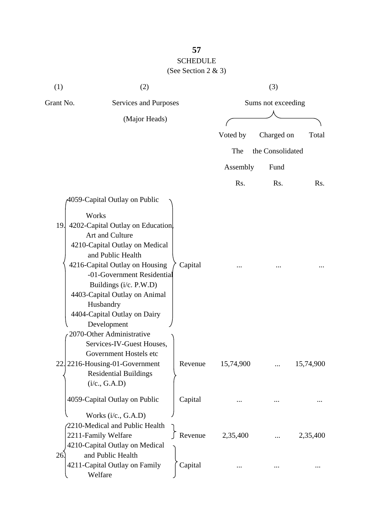| (1)       | (2)                                                                                                                                                                                                                                                                                                                                                                      |                    |           | (3)                |           |
|-----------|--------------------------------------------------------------------------------------------------------------------------------------------------------------------------------------------------------------------------------------------------------------------------------------------------------------------------------------------------------------------------|--------------------|-----------|--------------------|-----------|
| Grant No. | Services and Purposes                                                                                                                                                                                                                                                                                                                                                    |                    |           | Sums not exceeding |           |
|           | (Major Heads)                                                                                                                                                                                                                                                                                                                                                            |                    | Voted by  | Charged on         | Total     |
|           |                                                                                                                                                                                                                                                                                                                                                                          |                    | The       | the Consolidated   |           |
|           |                                                                                                                                                                                                                                                                                                                                                                          |                    | Assembly  | Fund               |           |
|           |                                                                                                                                                                                                                                                                                                                                                                          |                    | Rs.       | Rs.                | Rs.       |
| 19.       | 4059-Capital Outlay on Public<br>Works<br>4202-Capital Outlay on Education<br>Art and Culture<br>4210-Capital Outlay on Medical<br>and Public Health<br>4216-Capital Outlay on Housing<br>-01-Government Residential<br>Buildings (i/c. P.W.D)<br>4403-Capital Outlay on Animal<br>Husbandry<br>4404-Capital Outlay on Dairy<br>Development<br>2070-Other Administrative | Capital            |           |                    |           |
| 22.       | Services-IV-Guest Houses,<br>Government Hostels etc<br>2216-Housing-01-Government<br><b>Residential Buildings</b><br>(i/c., G.A.D)                                                                                                                                                                                                                                       | Revenue            | 15,74,900 |                    | 15,74,900 |
|           | 4059-Capital Outlay on Public                                                                                                                                                                                                                                                                                                                                            | Capital            |           |                    |           |
| 26.       | Works (i/c., G.A.D)<br>2210-Medical and Public Health<br>2211-Family Welfare<br>4210-Capital Outlay on Medical<br>and Public Health<br>4211-Capital Outlay on Family<br>Welfare                                                                                                                                                                                          | Revenue<br>Capital | 2,35,400  |                    | 2,35,400  |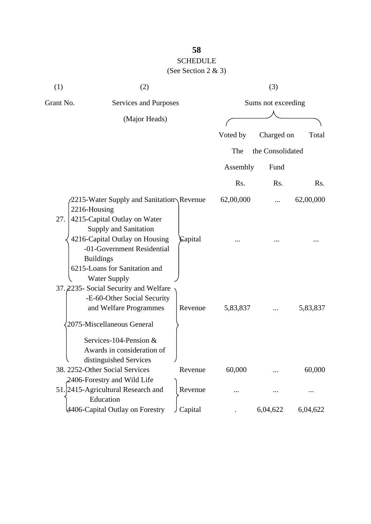### (See Section 2 & 3)

| (1)          | (2)                                                                                                                                                                                               |         |           | (3)                |           |
|--------------|---------------------------------------------------------------------------------------------------------------------------------------------------------------------------------------------------|---------|-----------|--------------------|-----------|
| Grant No.    | Services and Purposes                                                                                                                                                                             |         |           | Sums not exceeding |           |
|              | (Major Heads)                                                                                                                                                                                     |         |           |                    |           |
|              |                                                                                                                                                                                                   |         | Voted by  | Charged on         | Total     |
|              |                                                                                                                                                                                                   |         | The       | the Consolidated   |           |
|              |                                                                                                                                                                                                   |         | Assembly  | Fund               |           |
|              |                                                                                                                                                                                                   |         | Rs.       | Rs.                | Rs.       |
| 2216-Housing | 2215-Water Supply and Sanitation Revenue                                                                                                                                                          |         | 62,00,000 |                    | 62,00,000 |
| 27.          | 4215-Capital Outlay on Water<br>Supply and Sanitation<br>4216-Capital Outlay on Housing<br>-01-Government Residential<br><b>Buildings</b><br>6215-Loans for Sanitation and<br><b>Water Supply</b> | Capital |           |                    |           |
|              | 37. 2235- Social Security and Welfare<br>-E-60-Other Social Security<br>and Welfare Programmes<br>2075-Miscellaneous General                                                                      | Revenue | 5,83,837  |                    | 5,83,837  |
|              | Services-104-Pension &<br>Awards in consideration of<br>distinguished Services                                                                                                                    |         |           |                    |           |
|              | 38. 2252-Other Social Services                                                                                                                                                                    | Revenue | 60,000    |                    | 60,000    |
|              | 2406-Forestry and Wild Life<br>51. 2415-Agricultural Research and<br>Education                                                                                                                    | Revenue |           |                    |           |
|              | 4406-Capital Outlay on Forestry                                                                                                                                                                   | Capital |           | 6,04,622           | 6,04,622  |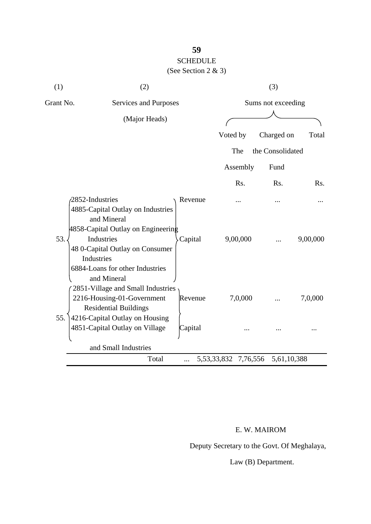# SCHEDULE

(See Section 2 & 3)

| (1)       | (2)                                                                                                                                                           |                    |                            | (3)              |          |
|-----------|---------------------------------------------------------------------------------------------------------------------------------------------------------------|--------------------|----------------------------|------------------|----------|
| Grant No. | Services and Purposes                                                                                                                                         |                    | Sums not exceeding         |                  |          |
|           | (Major Heads)                                                                                                                                                 |                    |                            |                  |          |
|           |                                                                                                                                                               |                    | Voted by                   | Charged on       | Total    |
|           |                                                                                                                                                               |                    | The                        | the Consolidated |          |
|           |                                                                                                                                                               |                    | Assembly                   | Fund             |          |
|           |                                                                                                                                                               |                    | Rs.                        | Rs.              | Rs.      |
| 53.       | 2852-Industries<br>4885-Capital Outlay on Industries<br>and Mineral<br>$4858$ -Capital Outlay on Engineering<br>Industries<br>48 0-Capital Outlay on Consumer | Revenue<br>Capital | 9,00,000                   |                  | 9,00,000 |
|           | Industries<br>6884-Loans for other Industries<br>and Mineral<br>2851-Village and Small Industries                                                             |                    |                            |                  |          |
| 55.       | 2216-Housing-01-Government<br><b>Residential Buildings</b>                                                                                                    | Revenue            | 7,0,000                    |                  | 7,0,000  |
|           | 4216-Capital Outlay on Housing<br>4851-Capital Outlay on Village                                                                                              | Capital            |                            |                  |          |
|           | and Small Industries                                                                                                                                          |                    |                            |                  |          |
|           | Total                                                                                                                                                         |                    | 5, 53, 33, 832<br>7,76,556 | 5,61,10,388      |          |

### E. W. MAIROM

Deputy Secretary to the Govt. Of Meghalaya,

Law (B) Department.